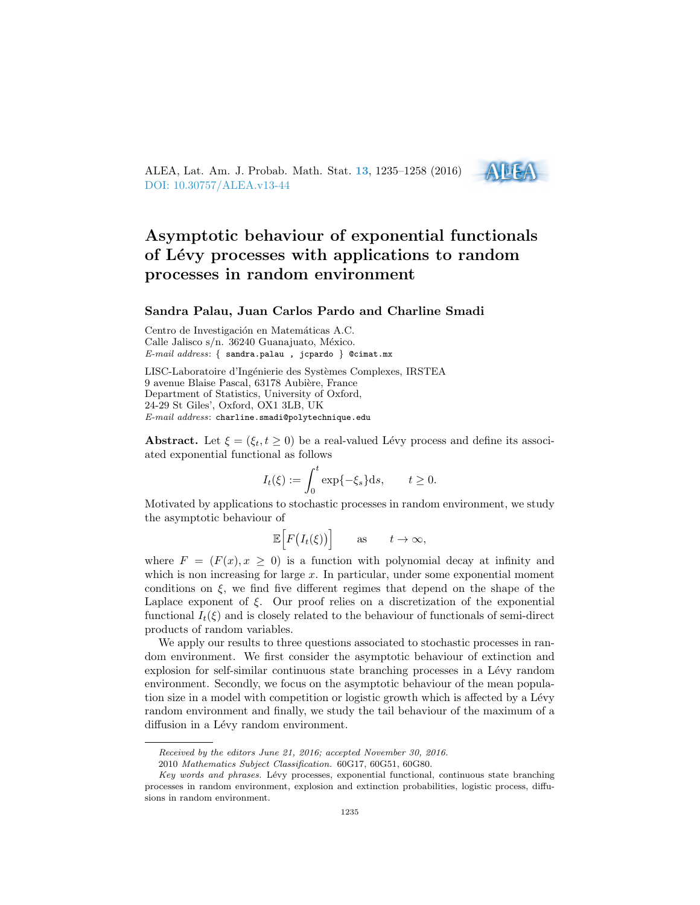

# Asymptotic behaviour of exponential functionals of Lévy processes with applications to random processes in random environment

 $A$  iie

## Sandra Palau, Juan Carlos Pardo and Charline Smadi

Centro de Investigación en Matemáticas A.C. Calle Jalisco s/n. 36240 Guanajuato, México. E-mail address: { sandra.palau , jcpardo } @cimat.mx

LISC-Laboratoire d'Ingénierie des Systèmes Complexes, IRSTEA 9 avenue Blaise Pascal, 63178 Aubière, France Department of Statistics, University of Oxford, 24-29 St Giles', Oxford, OX1 3LB, UK  $E-mail$   $address:$  charline.smadi@polytechnique.edu

Abstract. Let  $\xi = (\xi_t, t \ge 0)$  be a real-valued Lévy process and define its associated exponential functional as follows

$$
I_t(\xi) := \int_0^t \exp\{-\xi_s\}ds, \qquad t \ge 0.
$$

Motivated by applications to stochastic processes in random environment, we study the asymptotic behaviour of

$$
\mathbb{E}\Big[F\big(I_t(\xi)\big)\Big] \qquad \text{as} \qquad t \to \infty,
$$

where  $F = (F(x), x > 0)$  is a function with polynomial decay at infinity and which is non increasing for large  $x$ . In particular, under some exponential moment conditions on  $\xi$ , we find five different regimes that depend on the shape of the Laplace exponent of  $\xi$ . Our proof relies on a discretization of the exponential functional  $I_t(\xi)$  and is closely related to the behaviour of functionals of semi-direct products of random variables.

We apply our results to three questions associated to stochastic processes in random environment. We first consider the asymptotic behaviour of extinction and explosion for self-similar continuous state branching processes in a Lévy random environment. Secondly, we focus on the asymptotic behaviour of the mean population size in a model with competition or logistic growth which is affected by a Lévy random environment and finally, we study the tail behaviour of the maximum of a diffusion in a Lévy random environment.

Received by the editors June 21, 2016; accepted November 30, 2016.

<sup>2010</sup> Mathematics Subject Classification. 60G17, 60G51, 60G80.

Key words and phrases. Lévy processes, exponential functional, continuous state branching processes in random environment, explosion and extinction probabilities, logistic process, diffusions in random environment.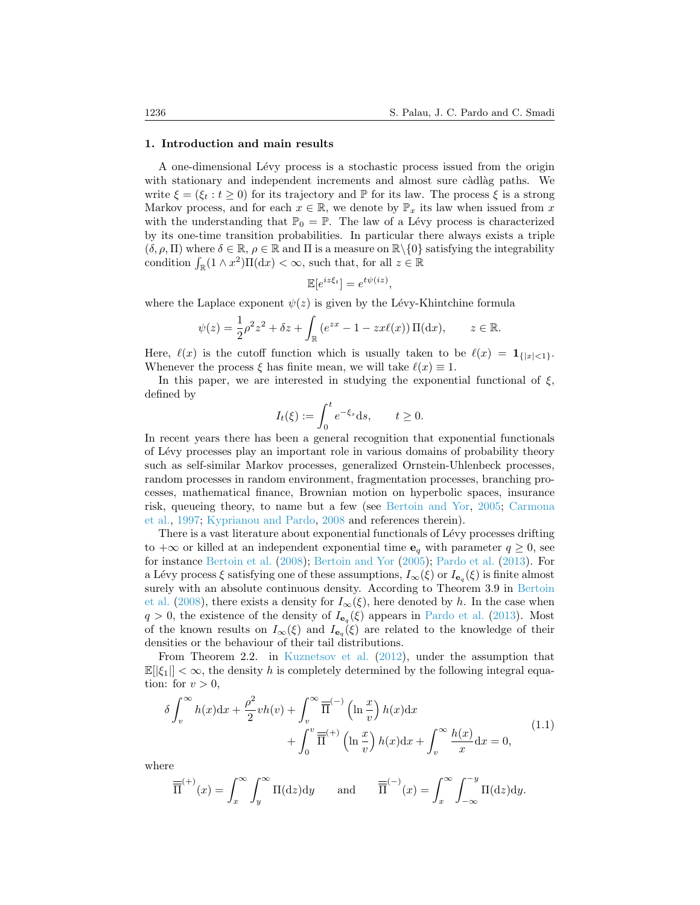#### <span id="page-1-0"></span>1. Introduction and main results

A one-dimensional Lévy process is a stochastic process issued from the origin with stationary and independent increments and almost sure càdlàg paths. We write  $\xi = (\xi_t : t \ge 0)$  for its trajectory and  $\mathbb P$  for its law. The process  $\xi$  is a strong Markov process, and for each  $x \in \mathbb{R}$ , we denote by  $\mathbb{P}_x$  its law when issued from x with the understanding that  $\mathbb{P}_0 = \mathbb{P}$ . The law of a Lévy process is characterized by its one-time transition probabilities. In particular there always exists a triple  $(\delta, \rho, \Pi)$  where  $\delta \in \mathbb{R}$ ,  $\rho \in \mathbb{R}$  and  $\Pi$  is a measure on  $\mathbb{R}\setminus\{0\}$  satisfying the integrability condition  $\int_{\mathbb{R}} (1 \wedge x^2) \Pi(dx) < \infty$ , such that, for all  $z \in \mathbb{R}$ 

$$
\mathbb{E}[e^{iz\xi_t}] = e^{t\psi(iz)},
$$

where the Laplace exponent  $\psi(z)$  is given by the Lévy-Khintchine formula

$$
\psi(z) = \frac{1}{2}\rho^2 z^2 + \delta z + \int_{\mathbb{R}} \left( e^{zx} - 1 - zx\ell(x) \right) \Pi(\mathrm{d}x), \qquad z \in \mathbb{R}.
$$

Here,  $\ell(x)$  is the cutoff function which is usually taken to be  $\ell(x) = 1_{\{|x| \leq 1\}}$ . Whenever the process  $\xi$  has finite mean, we will take  $\ell(x) \equiv 1$ .

In this paper, we are interested in studying the exponential functional of  $\xi$ , defined by

$$
I_t(\xi) := \int_0^t e^{-\xi_s} \mathrm{d} s, \qquad t \ge 0.
$$

In recent years there has been a general recognition that exponential functionals of L´evy processes play an important role in various domains of probability theory such as self-similar Markov processes, generalized Ornstein-Uhlenbeck processes, random processes in random environment, fragmentation processes, branching processes, mathematical finance, Brownian motion on hyperbolic spaces, insurance risk, queueing theory, to name but a few (see [Bertoin and Yor,](#page-22-0) [2005;](#page-22-0) [Carmona](#page-22-1) [et al.,](#page-22-1) [1997;](#page-22-1) [Kyprianou and Pardo,](#page-23-0) [2008](#page-23-0) and references therein).

There is a vast literature about exponential functionals of Lévy processes drifting to  $+\infty$  or killed at an independent exponential time  $e_q$  with parameter  $q \geq 0$ , see for instance [Bertoin et al.](#page-22-2) [\(2008\)](#page-22-2); [Bertoin and Yor](#page-22-0) [\(2005\)](#page-22-0); [Pardo et al.](#page-23-1) [\(2013\)](#page-23-1). For a Lévy process  $\xi$  satisfying one of these assumptions,  $I_{\infty}(\xi)$  or  $I_{\mathbf{e}_q}(\xi)$  is finite almost surely with an absolute continuous density. According to Theorem 3.9 in [Bertoin](#page-22-2) [et al.](#page-22-2) [\(2008\)](#page-22-2), there exists a density for  $I_{\infty}(\xi)$ , here denoted by h. In the case when  $q > 0$ , the existence of the density of  $I_{\mathbf{e}_q}(\xi)$  appears in [Pardo et al.](#page-23-1) [\(2013\)](#page-23-1). Most of the known results on  $I_{\infty}(\xi)$  and  $I_{\mathbf{e}_q}(\xi)$  are related to the knowledge of their densities or the behaviour of their tail distributions.

From Theorem 2.2. in [Kuznetsov et al.](#page-23-2) [\(2012\)](#page-23-2), under the assumption that  $\mathbb{E}[\xi_1] < \infty$ , the density h is completely determined by the following integral equation: for  $v > 0$ ,

$$
\delta \int_{v}^{\infty} h(x) dx + \frac{\rho^2}{2} v h(v) + \int_{v}^{\infty} \overline{\overline{\Pi}}^{(-)} \left( \ln \frac{x}{v} \right) h(x) dx + \int_{0}^{v} \overline{\overline{\Pi}}^{(+)} \left( \ln \frac{x}{v} \right) h(x) dx + \int_{v}^{\infty} \frac{h(x)}{x} dx = 0,
$$
\n(1.1)

where

$$
\overline{\overline{\Pi}}^{(+)}(x) = \int_x^{\infty} \int_y^{\infty} \Pi(\mathrm{d}z) \mathrm{d}y \quad \text{and} \quad \overline{\overline{\Pi}}^{(-)}(x) = \int_x^{\infty} \int_{-\infty}^{-y} \Pi(\mathrm{d}z) \mathrm{d}y.
$$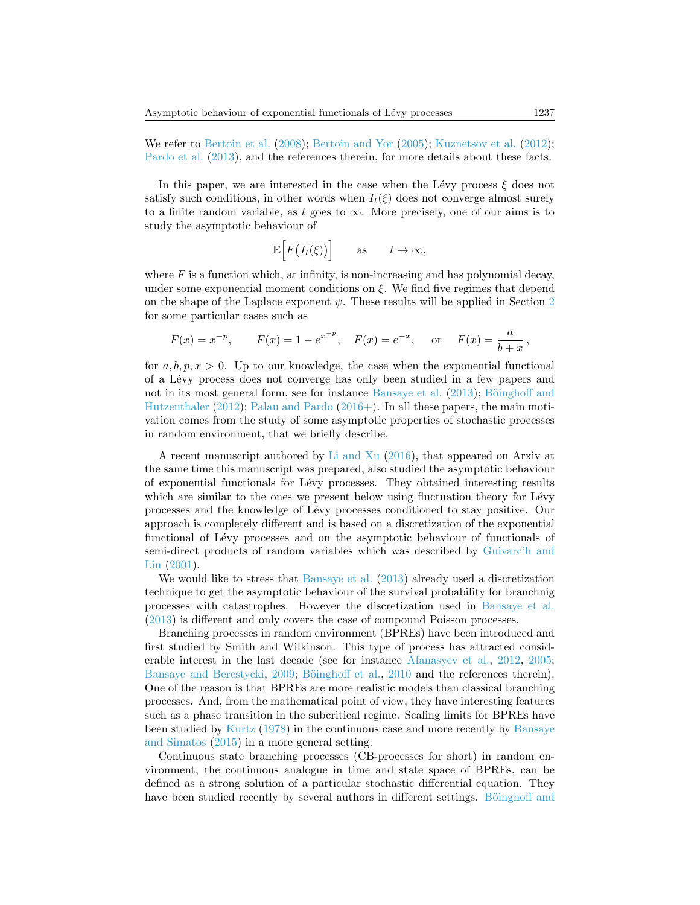We refer to [Bertoin et al.](#page-22-2) [\(2008\)](#page-22-2); [Bertoin and Yor](#page-22-0) [\(2005\)](#page-22-0); [Kuznetsov et al.](#page-23-2) [\(2012\)](#page-23-2); [Pardo et al.](#page-23-1) [\(2013\)](#page-23-1), and the references therein, for more details about these facts.

In this paper, we are interested in the case when the Lévy process  $\xi$  does not satisfy such conditions, in other words when  $I_t(\xi)$  does not converge almost surely to a finite random variable, as t goes to  $\infty$ . More precisely, one of our aims is to study the asymptotic behaviour of

$$
\mathbb{E}\Big[F\big(I_t(\xi)\big)\Big] \qquad \text{as} \qquad t \to \infty,
$$

where  $F$  is a function which, at infinity, is non-increasing and has polynomial decay, under some exponential moment conditions on  $\xi$ . We find five regimes that depend on the shape of the Laplace exponent  $\psi$ . These results will be applied in Section [2](#page-6-0) for some particular cases such as

$$
F(x) = x^{-p}
$$
,  $F(x) = 1 - e^{x^{-p}}$ ,  $F(x) = e^{-x}$ , or  $F(x) = \frac{a}{b+x}$ ,

for  $a, b, p, x > 0$ . Up to our knowledge, the case when the exponential functional of a L´evy process does not converge has only been studied in a few papers and not in its most general form, see for instance [Bansaye et al.](#page-22-3)  $(2013)$ ; Böinghoff and [Hutzenthaler](#page-22-4) [\(2012\)](#page-22-4); [Palau and Pardo](#page-23-3) [\(2016+\)](#page-23-3). In all these papers, the main motivation comes from the study of some asymptotic properties of stochastic processes in random environment, that we briefly describe.

A recent manuscript authored by [Li and Xu](#page-23-4) [\(2016\)](#page-23-4), that appeared on Arxiv at the same time this manuscript was prepared, also studied the asymptotic behaviour of exponential functionals for Lévy processes. They obtained interesting results which are similar to the ones we present below using fluctuation theory for Lévy processes and the knowledge of L´evy processes conditioned to stay positive. Our approach is completely different and is based on a discretization of the exponential functional of Lévy processes and on the asymptotic behaviour of functionals of semi-direct products of random variables which was described by [Guivarc'h and](#page-23-5) [Liu](#page-23-5) [\(2001\)](#page-23-5).

We would like to stress that [Bansaye et al.](#page-22-3)  $(2013)$  already used a discretization technique to get the asymptotic behaviour of the survival probability for branchnig processes with catastrophes. However the discretization used in [Bansaye et al.](#page-22-3) [\(2013\)](#page-22-3) is different and only covers the case of compound Poisson processes.

Branching processes in random environment (BPREs) have been introduced and first studied by Smith and Wilkinson. This type of process has attracted considerable interest in the last decade (see for instance [Afanasyev et al.,](#page-22-5) [2012,](#page-22-5) [2005;](#page-22-6) [Bansaye and Berestycki,](#page-22-7) [2009;](#page-22-7) Böinghoff et al., [2010](#page-22-8) and the references therein). One of the reason is that BPREs are more realistic models than classical branching processes. And, from the mathematical point of view, they have interesting features such as a phase transition in the subcritical regime. Scaling limits for BPREs have been studied by [Kurtz](#page-23-6) [\(1978\)](#page-23-6) in the continuous case and more recently by [Bansaye](#page-22-9) [and Simatos](#page-22-9) [\(2015\)](#page-22-9) in a more general setting.

Continuous state branching processes (CB-processes for short) in random environment, the continuous analogue in time and state space of BPREs, can be defined as a strong solution of a particular stochastic differential equation. They have been studied recently by several authors in different settings. Böinghoff and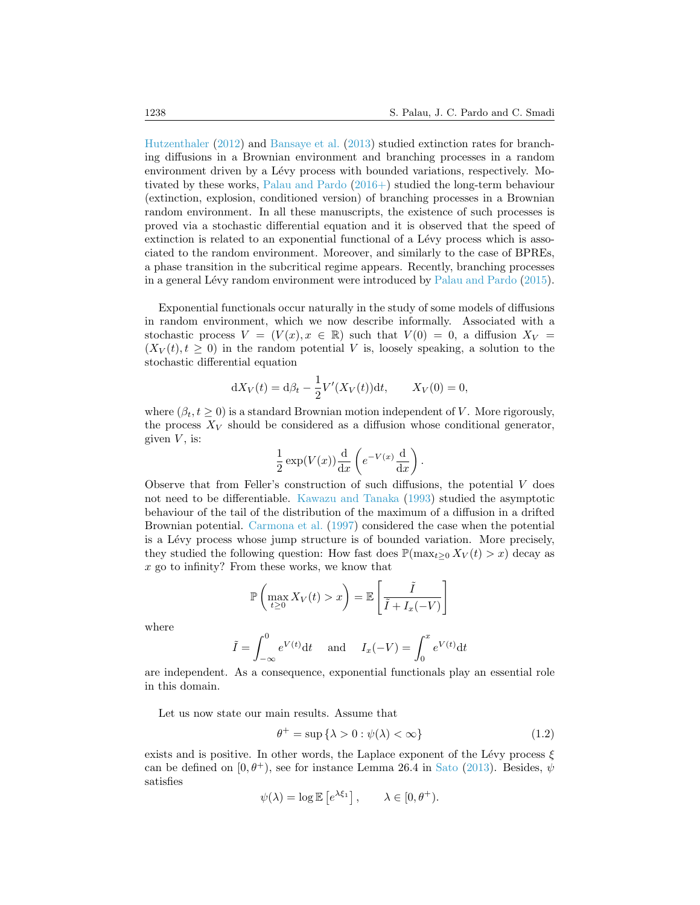[Hutzenthaler](#page-22-4) [\(2012\)](#page-22-4) and [Bansaye et al.](#page-22-3) [\(2013\)](#page-22-3) studied extinction rates for branching diffusions in a Brownian environment and branching processes in a random environment driven by a Lévy process with bounded variations, respectively. Motivated by these works, [Palau and Pardo](#page-23-3) [\(2016+\)](#page-23-3) studied the long-term behaviour (extinction, explosion, conditioned version) of branching processes in a Brownian random environment. In all these manuscripts, the existence of such processes is proved via a stochastic differential equation and it is observed that the speed of extinction is related to an exponential functional of a Lévy process which is associated to the random environment. Moreover, and similarly to the case of BPREs, a phase transition in the subcritical regime appears. Recently, branching processes in a general Lévy random environment were introduced by [Palau and Pardo](#page-23-7) [\(2015\)](#page-23-7).

Exponential functionals occur naturally in the study of some models of diffusions in random environment, which we now describe informally. Associated with a stochastic process  $V = (V(x), x \in \mathbb{R})$  such that  $V(0) = 0$ , a diffusion  $X_V =$  $(X_V(t), t \geq 0)$  in the random potential V is, loosely speaking, a solution to the stochastic differential equation

$$
dX_V(t) = d\beta_t - \frac{1}{2}V'(X_V(t))dt
$$
,  $X_V(0) = 0$ ,

where  $(\beta_t, t \geq 0)$  is a standard Brownian motion independent of V. More rigorously, the process  $X_V$  should be considered as a diffusion whose conditional generator, given  $V$ , is:

$$
\frac{1}{2} \exp(V(x)) \frac{d}{dx} \left( e^{-V(x)} \frac{d}{dx} \right).
$$

Observe that from Feller's construction of such diffusions, the potential V does not need to be differentiable. [Kawazu and Tanaka](#page-23-8) [\(1993\)](#page-23-8) studied the asymptotic behaviour of the tail of the distribution of the maximum of a diffusion in a drifted Brownian potential. [Carmona et al.](#page-22-1) [\(1997\)](#page-22-1) considered the case when the potential is a L´evy process whose jump structure is of bounded variation. More precisely, they studied the following question: How fast does  $\mathbb{P}(\max_{t>0} X_V(t) > x)$  decay as x go to infinity? From these works, we know that

$$
\mathbb{P}\left(\max_{t\geq 0} X_V(t) > x\right) = \mathbb{E}\left[\frac{\tilde{I}}{\tilde{I} + I_x(-V)}\right]
$$

where

$$
\tilde{I} = \int_{-\infty}^{0} e^{V(t)} dt \quad \text{and} \quad I_x(-V) = \int_{0}^{x} e^{V(t)} dt
$$

are independent. As a consequence, exponential functionals play an essential role in this domain.

Let us now state our main results. Assume that

<span id="page-3-0"></span>
$$
\theta^+ = \sup \{ \lambda > 0 : \psi(\lambda) < \infty \}
$$
 (1.2)

exists and is positive. In other words, the Laplace exponent of the Lévy process  $\xi$ can be defined on  $[0, \theta^+)$ , see for instance Lemma 26.4 in [Sato](#page-23-9) [\(2013\)](#page-23-9). Besides,  $\psi$ satisfies

$$
\psi(\lambda) = \log \mathbb{E}\left[e^{\lambda \xi_1}\right], \qquad \lambda \in [0, \theta^+).
$$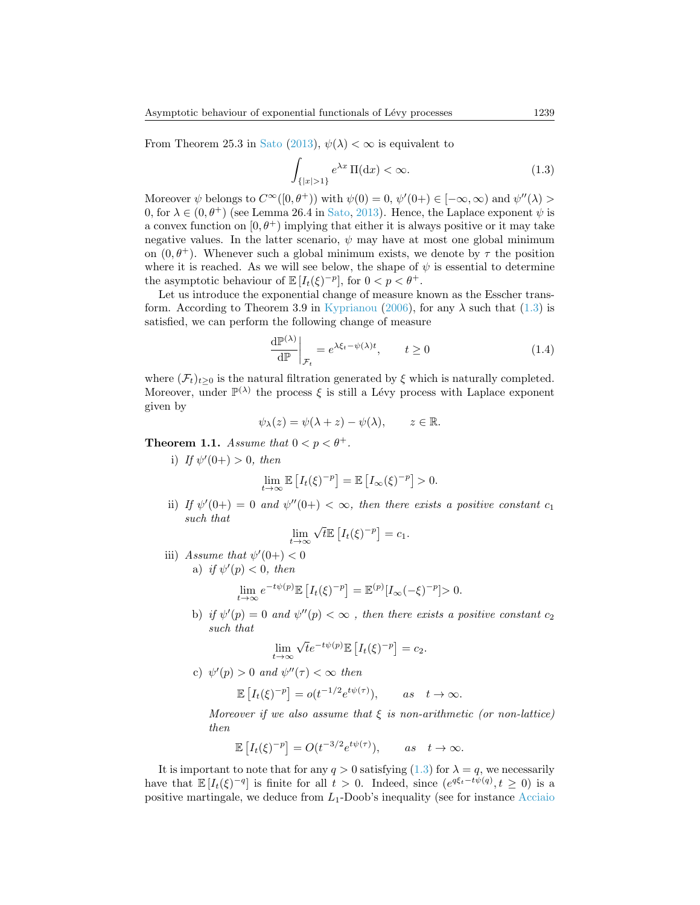From Theorem 25.3 in [Sato](#page-23-9) [\(2013\)](#page-23-9),  $\psi(\lambda) < \infty$  is equivalent to

<span id="page-4-0"></span>
$$
\int_{\{|x|>1\}} e^{\lambda x} \Pi(\mathrm{d}x) < \infty. \tag{1.3}
$$

Moreover  $\psi$  belongs to  $C^{\infty}([0, \theta^+))$  with  $\psi(0) = 0$ ,  $\psi'(0+) \in [-\infty, \infty)$  and  $\psi''(\lambda) >$ 0, for  $\lambda \in (0, \theta^+)$  (see Lemma 26.4 in [Sato,](#page-23-9) [2013\)](#page-23-9). Hence, the Laplace exponent  $\psi$  is a convex function on  $[0, \theta^+]$  implying that either it is always positive or it may take negative values. In the latter scenario,  $\psi$  may have at most one global minimum on  $(0, \theta^+)$ . Whenever such a global minimum exists, we denote by  $\tau$  the position where it is reached. As we will see below, the shape of  $\psi$  is essential to determine the asymptotic behaviour of  $\mathbb{E}[I_t(\xi)^{-p}]$ , for  $0 < p < \theta^+$ .

Let us introduce the exponential change of measure known as the Esscher trans-form. According to Theorem 3.9 in [Kyprianou](#page-23-10) [\(2006\)](#page-23-10), for any  $\lambda$  such that [\(1.3\)](#page-4-0) is satisfied, we can perform the following change of measure

<span id="page-4-1"></span>
$$
\left. \frac{\mathrm{d}\mathbb{P}^{(\lambda)}}{\mathrm{d}\mathbb{P}} \right|_{\mathcal{F}_t} = e^{\lambda \xi_t - \psi(\lambda)t}, \qquad t \ge 0 \tag{1.4}
$$

where  $(\mathcal{F}_t)_{t>0}$  is the natural filtration generated by  $\xi$  which is naturally completed. Moreover, under  $\mathbb{P}^{(\lambda)}$  the process  $\xi$  is still a Lévy process with Laplace exponent given by

$$
\psi_{\lambda}(z) = \psi(\lambda + z) - \psi(\lambda), \qquad z \in \mathbb{R}.
$$

<span id="page-4-2"></span>**Theorem 1.1.** Assume that  $0 < p < \theta^+$ .

i) If  $\psi'(0+) > 0$ , then

$$
\lim_{t \to \infty} \mathbb{E}\left[I_t(\xi)^{-p}\right] = \mathbb{E}\left[I_{\infty}(\xi)^{-p}\right] > 0.
$$

ii) If  $\psi'(0+) = 0$  and  $\psi''(0+) < \infty$ , then there exists a positive constant  $c_1$ such that √

$$
\lim_{t \to \infty} \sqrt{t} \mathbb{E} \left[ I_t(\xi)^{-p} \right] = c_1.
$$

iii) Assume that  $\psi'(0+) < 0$ a) if  $\psi'(p) < 0$ , then

$$
\lim_{t \to \infty} e^{-t\psi(p)} \mathbb{E} \left[ I_t(\xi)^{-p} \right] = \mathbb{E}^{(p)} [I_{\infty}(-\xi)^{-p}] > 0.
$$

b) if  $\psi'(p) = 0$  and  $\psi''(p) < \infty$ , then there exists a positive constant  $c_2$ such that

$$
\lim_{t \to \infty} \sqrt{t} e^{-t\psi(p)} \mathbb{E} \left[ I_t(\xi)^{-p} \right] = c_2.
$$

c)  $\psi'(p) > 0$  and  $\psi''(\tau) < \infty$  then

$$
\mathbb{E}\left[I_t(\xi)^{-p}\right] = o(t^{-1/2}e^{t\psi(\tau)}), \quad \text{as} \quad t \to \infty.
$$

Moreover if we also assume that  $\xi$  is non-arithmetic (or non-lattice) then

$$
\mathbb{E}\left[I_t(\xi)^{-p}\right] = O(t^{-3/2}e^{t\psi(\tau)}), \quad \text{as} \quad t \to \infty.
$$

It is important to note that for any  $q > 0$  satisfying  $(1.3)$  for  $\lambda = q$ , we necessarily have that  $\mathbb{E}[I_t(\xi)^{-q}]$  is finite for all  $t > 0$ . Indeed, since  $(e^{q\xi_t-t\psi(q)}, t \geq 0)$  is a positive martingale, we deduce from  $L_1$ -Doob's inequality (see for instance [Acciaio](#page-22-10)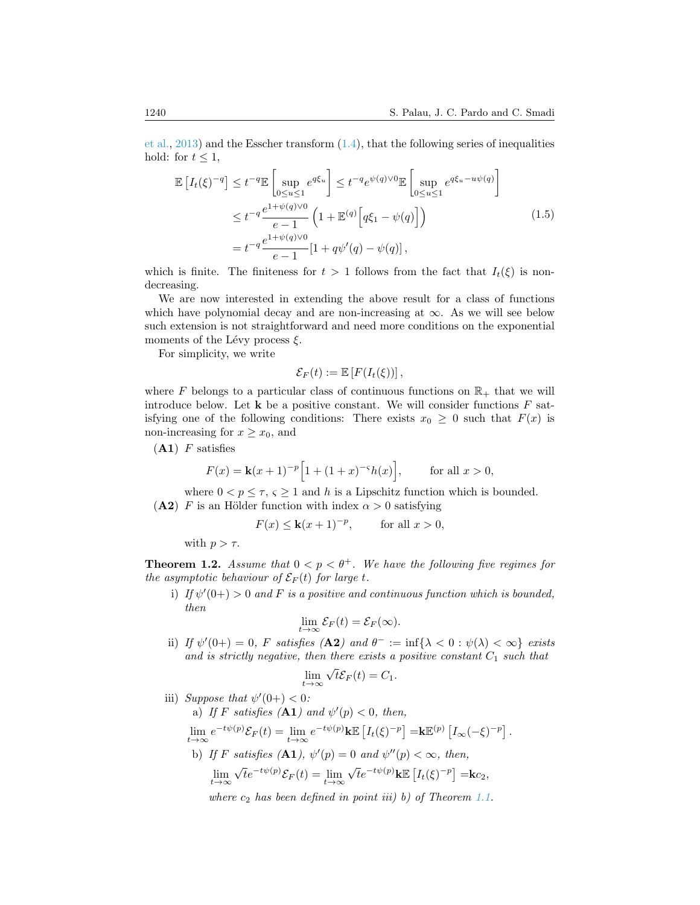[et al.,](#page-22-10) [2013\)](#page-22-10) and the Esscher transform  $(1.4)$ , that the following series of inequalities hold: for  $t \leq 1$ ,

<span id="page-5-1"></span>
$$
\mathbb{E}\left[I_t(\xi)^{-q}\right] \le t^{-q} \mathbb{E}\left[\sup_{0\le u\le 1} e^{q\xi_u}\right] \le t^{-q} e^{\psi(q)\vee 0} \mathbb{E}\left[\sup_{0\le u\le 1} e^{q\xi_u - u\psi(q)}\right]
$$
  
\n
$$
\le t^{-q} \frac{e^{1+\psi(q)\vee 0}}{e-1} \left(1 + \mathbb{E}^{(q)}\left[q\xi_1 - \psi(q)\right]\right)
$$
  
\n
$$
= t^{-q} \frac{e^{1+\psi(q)\vee 0}}{e-1} [1 + q\psi'(q) - \psi(q)],
$$
\n(1.5)

which is finite. The finiteness for  $t > 1$  follows from the fact that  $I_t(\xi)$  is nondecreasing.

We are now interested in extending the above result for a class of functions which have polynomial decay and are non-increasing at  $\infty$ . As we will see below such extension is not straightforward and need more conditions on the exponential moments of the Lévy process  $\xi$ .

For simplicity, we write

$$
\mathcal{E}_F(t) := \mathbb{E}\left[F(I_t(\xi))\right],
$$

where F belongs to a particular class of continuous functions on  $\mathbb{R}_+$  that we will introduce below. Let  $\bf{k}$  be a positive constant. We will consider functions  $\bf{F}$  satisfying one of the following conditions: There exists  $x_0 \geq 0$  such that  $F(x)$  is non-increasing for  $x \geq x_0$ , and

 $(A1)$  F satisfies

$$
F(x) = \mathbf{k}(x+1)^{-p} \Big[ 1 + (1+x)^{-s} h(x) \Big], \qquad \text{for all } x > 0,
$$

where  $0 < p \leq \tau$ ,  $\varsigma \geq 1$  and h is a Lipschitz function which is bounded. (A2) F is an Hölder function with index  $\alpha > 0$  satisfying

$$
F(x) \le \mathbf{k}(x+1)^{-p}, \qquad \text{for all } x > 0,
$$

with  $p > \tau$ .

<span id="page-5-0"></span>**Theorem 1.2.** Assume that  $0 < p < \theta^+$ . We have the following five regimes for the asymptotic behaviour of  $\mathcal{E}_F(t)$  for large t.

i) If  $\psi'(0+) > 0$  and F is a positive and continuous function which is bounded, then

$$
\lim_{t\to\infty}\mathcal{E}_F(t)=\mathcal{E}_F(\infty).
$$

ii) If  $\psi'(0+) = 0$ , F satisfies  $(A2)$  and  $\theta^- := \inf{\lambda < 0 : \psi(\lambda) < \infty}$  exists and is strictly negative, then there exists a positive constant  $C_1$  such that

$$
\lim_{t \to \infty} \sqrt{t} \mathcal{E}_F(t) = C_1.
$$

iii) Suppose that  $\psi'(0+) < 0$ :

a) If F satisfies 
$$
(A1)
$$
 and  $\psi'(p) < 0$ , then,  
\n
$$
\lim_{t \to \infty} e^{-t\psi(p)} \mathcal{E}_F(t) = \lim_{t \to \infty} e^{-t\psi(p)} k \mathbb{E} \left[ I_t(\xi)^{-p} \right] = k \mathbb{E}^{(p)} \left[ I_{\infty}(-\xi)^{-p} \right].
$$
\nb) If F satisfies  $(A1)$ ,  $\psi'(p) = 0$  and  $\psi''(p) < \infty$ , then,  
\n
$$
\lim_{t \to \infty} \sqrt{t} e^{-t\psi(p)} \mathcal{E}_F(t) = \lim_{t \to \infty} \sqrt{t} e^{-t\psi(p)} k \mathbb{E} \left[ I_t(\xi)^{-p} \right] = k c_2,
$$

where  $c_2$  has been defined in point iii) b) of Theorem [1.1.](#page-4-2)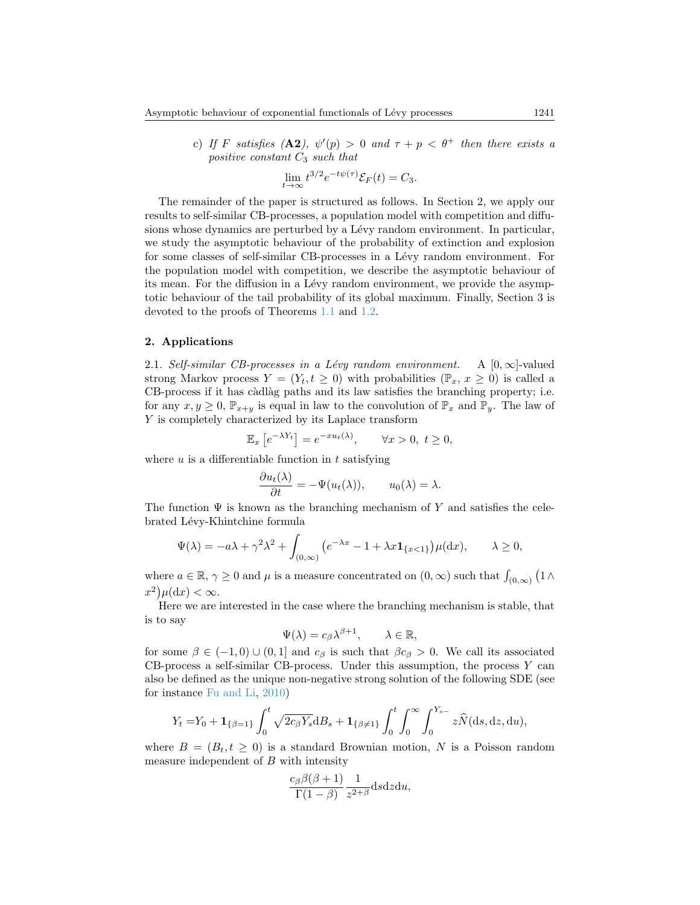c) If F satisfies (A2),  $\psi'(p) > 0$  and  $\tau + p < \theta^+$  then there exists a positive constant  $C_3$  such that

$$
\lim_{t \to \infty} t^{3/2} e^{-t\psi(\tau)} \mathcal{E}_F(t) = C_3.
$$

The remainder of the paper is structured as follows. In Section 2, we apply our results to self-similar CB-processes, a population model with competition and diffusions whose dynamics are perturbed by a Lévy random environment. In particular, we study the asymptotic behaviour of the probability of extinction and explosion for some classes of self-similar CB-processes in a Lévy random environment. For the population model with competition, we describe the asymptotic behaviour of its mean. For the diffusion in a Lévy random environment, we provide the asymptotic behaviour of the tail probability of its global maximum. Finally, Section 3 is devoted to the proofs of Theorems [1.1](#page-4-2) and [1.2.](#page-5-0)

## <span id="page-6-0"></span>2. Applications

2.1. Self-similar CB-processes in a Lévy random environment. A  $[0, \infty]$ -valued strong Markov process  $Y = (Y_t, t \geq 0)$  with probabilities  $(\mathbb{P}_x, x \geq 0)$  is called a CB-process if it has càdlàg paths and its law satisfies the branching property; i.e. for any  $x, y \geq 0$ ,  $\mathbb{P}_{x+y}$  is equal in law to the convolution of  $\mathbb{P}_x$  and  $\mathbb{P}_y$ . The law of Y is completely characterized by its Laplace transform

$$
\mathbb{E}_x\left[e^{-\lambda Y_t}\right] = e^{-xu_t(\lambda)}, \qquad \forall x > 0, \ t \ge 0,
$$

where  $u$  is a differentiable function in  $t$  satisfying

$$
\frac{\partial u_t(\lambda)}{\partial t} = -\Psi(u_t(\lambda)), \qquad u_0(\lambda) = \lambda.
$$

The function  $\Psi$  is known as the branching mechanism of Y and satisfies the celebrated Lévy-Khintchine formula

$$
\Psi(\lambda) = -a\lambda + \gamma^2 \lambda^2 + \int_{(0,\infty)} \left( e^{-\lambda x} - 1 + \lambda x \mathbf{1}_{\{x < 1\}} \right) \mu(\mathrm{d}x), \qquad \lambda \ge 0,
$$

where  $a \in \mathbb{R}$ ,  $\gamma \ge 0$  and  $\mu$  is a measure concentrated on  $(0, \infty)$  such that  $\int_{(0, \infty)} (1 \wedge$  $(x^2)\mu(\mathrm{d}x)<\infty.$ 

Here we are interested in the case where the branching mechanism is stable, that is to say

$$
\Psi(\lambda) = c_{\beta} \lambda^{\beta+1}, \qquad \lambda \in \mathbb{R},
$$

for some  $\beta \in (-1,0) \cup (0,1]$  and  $c_{\beta}$  is such that  $\beta c_{\beta} > 0$ . We call its associated  $CB$ -process a self-similar CB-process. Under this assumption, the process  $Y$  can also be defined as the unique non-negative strong solution of the following SDE (see for instance [Fu and Li,](#page-23-11) [2010\)](#page-23-11)

$$
Y_t = Y_0 + \mathbf{1}_{\{\beta=1\}} \int_0^t \sqrt{2c_{\beta} Y_s} dB_s + \mathbf{1}_{\{\beta \neq 1\}} \int_0^t \int_0^\infty \int_0^{Y_{s-}} z \widehat{N}(ds, dz, du),
$$

where  $B = (B_t, t \geq 0)$  is a standard Brownian motion, N is a Poisson random measure independent of  $B$  with intensity

$$
\frac{c_{\beta}\beta(\beta+1)}{\Gamma(1-\beta)}\frac{1}{z^{2+\beta}}\mathrm{d} s\mathrm{d} z\mathrm{d} u,
$$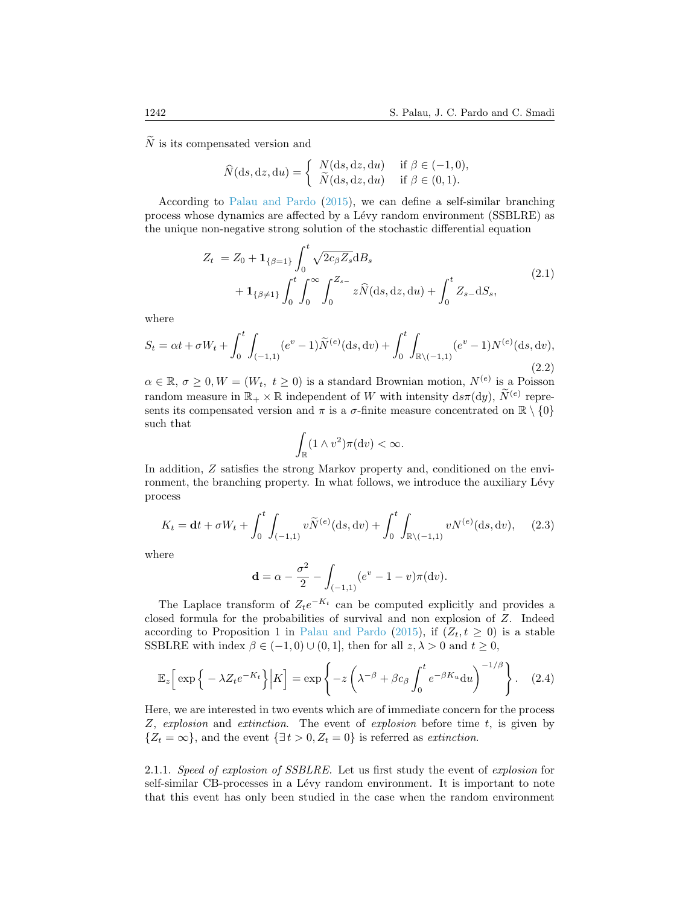$N$  is its compensated version and

$$
\widehat{N}(\mathrm{d}s,\mathrm{d}z,\mathrm{d}u) = \begin{cases} N(\mathrm{d}s,\mathrm{d}z,\mathrm{d}u) & \text{if } \beta \in (-1,0), \\ \widetilde{N}(\mathrm{d}s,\mathrm{d}z,\mathrm{d}u) & \text{if } \beta \in (0,1). \end{cases}
$$

According to [Palau and Pardo](#page-23-7) [\(2015\)](#page-23-7), we can define a self-similar branching process whose dynamics are affected by a Lévy random environment (SSBLRE) as the unique non-negative strong solution of the stochastic differential equation

$$
Z_{t} = Z_{0} + \mathbf{1}_{\{\beta=1\}} \int_{0}^{t} \sqrt{2c_{\beta} Z_{s}} dB_{s}
$$
  
+  $\mathbf{1}_{\{\beta \neq 1\}} \int_{0}^{t} \int_{0}^{\infty} \int_{0}^{Z_{s-}} z \hat{N}(ds, dz, du) + \int_{0}^{t} Z_{s-} dS_{s},$  (2.1)

<span id="page-7-1"></span>where

<span id="page-7-3"></span>
$$
S_t = \alpha t + \sigma W_t + \int_0^t \int_{(-1,1)} (e^v - 1) \widetilde{N}^{(e)}(\mathrm{d}s, \mathrm{d}v) + \int_0^t \int_{\mathbb{R}\setminus (-1,1)} (e^v - 1) N^{(e)}(\mathrm{d}s, \mathrm{d}v),\tag{2.2}
$$

 $\alpha \in \mathbb{R}, \sigma \geq 0, W = (W_t, t \geq 0)$  is a standard Brownian motion,  $N^{(e)}$  is a Poisson random measure in  $\mathbb{R}_+ \times \mathbb{R}$  independent of W with intensity  $ds\pi(dy)$ ,  $\widetilde{N}^{(e)}$  represents its compensated version and  $\pi$  is a  $\sigma$ -finite measure concentrated on  $\mathbb{R} \setminus \{0\}$ such that

$$
\int_{\mathbb{R}} (1 \wedge v^2) \pi(\mathrm{d}v) < \infty.
$$

In addition, Z satisfies the strong Markov property and, conditioned on the environment, the branching property. In what follows, we introduce the auxiliary Lévy process

<span id="page-7-2"></span>
$$
K_t = \mathbf{d}t + \sigma W_t + \int_0^t \int_{(-1,1)} v \widetilde{N}^{(e)}(\mathrm{d}s, \mathrm{d}v) + \int_0^t \int_{\mathbb{R}\setminus(-1,1)} v N^{(e)}(\mathrm{d}s, \mathrm{d}v), \quad (2.3)
$$

where

<span id="page-7-0"></span>
$$
\mathbf{d} = \alpha - \frac{\sigma^2}{2} - \int_{(-1,1)} (e^v - 1 - v) \pi(\mathrm{d}v).
$$

The Laplace transform of  $Z_t e^{-K_t}$  can be computed explicitly and provides a closed formula for the probabilities of survival and non explosion of Z. Indeed according to Proposition 1 in [Palau and Pardo](#page-23-7) [\(2015\)](#page-23-7), if  $(Z_t, t \geq 0)$  is a stable SSBLRE with index  $\beta \in (-1,0) \cup (0,1]$ , then for all  $z, \lambda > 0$  and  $t \geq 0$ ,

$$
\mathbb{E}_z \Big[ \exp \Big\{ -\lambda Z_t e^{-K_t} \Big\} \Big| K \Big] = \exp \left\{ -z \left( \lambda^{-\beta} + \beta c_\beta \int_0^t e^{-\beta K_u} \mathrm{d}u \right)^{-1/\beta} \right\}. \tag{2.4}
$$

Here, we are interested in two events which are of immediate concern for the process Z, explosion and extinction. The event of explosion before time t, is given by  $\{Z_t = \infty\}$ , and the event  $\{\exists t > 0, Z_t = 0\}$  is referred as extinction.

2.1.1. Speed of explosion of SSBLRE. Let us first study the event of explosion for self-similar CB-processes in a Lévy random environment. It is important to note that this event has only been studied in the case when the random environment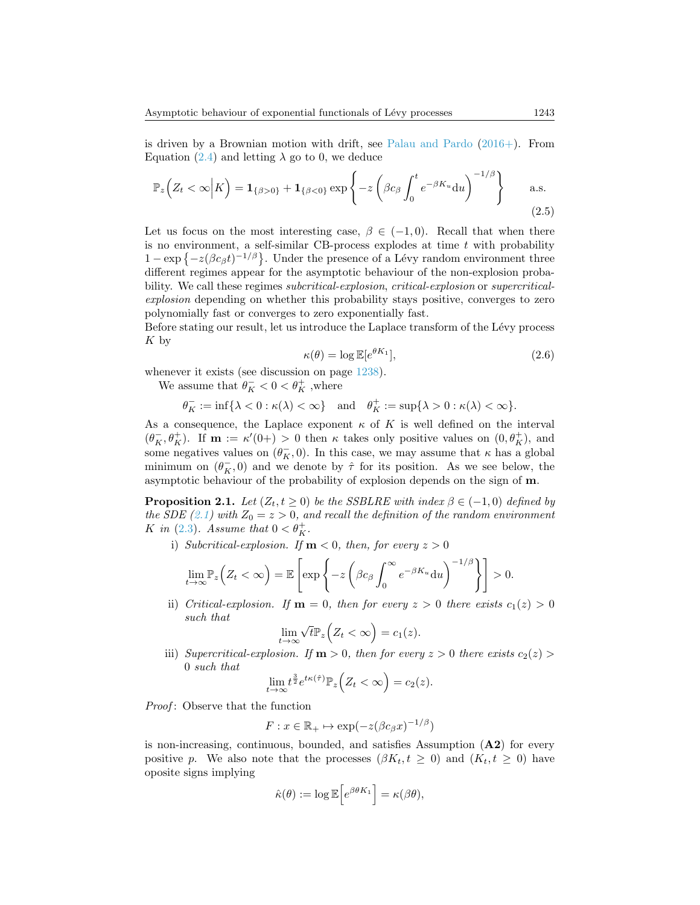is driven by a Brownian motion with drift, see [Palau and Pardo](#page-23-3) [\(2016+\)](#page-23-3). From Equation [\(2.4\)](#page-7-0) and letting  $\lambda$  go to 0, we deduce

$$
\mathbb{P}_z\Big(Z_t < \infty \Big| K\Big) = \mathbf{1}_{\{\beta > 0\}} + \mathbf{1}_{\{\beta < 0\}} \exp\left\{-z \left(\beta c_\beta \int_0^t e^{-\beta K_u} \mathrm{d}u\right)^{-1/\beta}\right\} \qquad \text{a.s.}
$$
\n(2.5)

Let us focus on the most interesting case,  $\beta \in (-1,0)$ . Recall that when there is no environment, a self-similar CB-process explodes at time  $t$  with probability  $1 - \exp \{-z(\beta c_\beta t)^{-1/\beta}\}\.$  Under the presence of a Lévy random environment three different regimes appear for the asymptotic behaviour of the non-explosion probability. We call these regimes *subcritical-explosion*, *critical-explosion* or *supercritical*explosion depending on whether this probability stays positive, converges to zero polynomially fast or converges to zero exponentially fast.

Before stating our result, let us introduce the Laplace transform of the Lévy process K by

<span id="page-8-1"></span>
$$
\kappa(\theta) = \log \mathbb{E}[e^{\theta K_1}],\tag{2.6}
$$

whenever it exists (see discussion on page  $1238$ ).

We assume that  $\theta_K^-<0<\theta_K^+$  ,<br>where

$$
\theta_K^-:=\inf\{\lambda<0:\kappa(\lambda)<\infty\}\quad\text{and}\quad \theta_K^+:=\sup\{\lambda>0:\kappa(\lambda)<\infty\}.
$$

As a consequence, the Laplace exponent  $\kappa$  of K is well defined on the interval  $(\theta_K^-, \theta_K^+)$ . If  $m := \kappa'(0+) > 0$  then  $\kappa$  takes only positive values on  $(0, \theta_K^+)$ , and some negatives values on  $(\theta_K^-, 0)$ . In this case, we may assume that  $\kappa$  has a global minimum on  $(\theta_K^-, 0)$  and we denote by  $\hat{\tau}$  for its position. As we see below, the asymptotic behaviour of the probability of explosion depends on the sign of m.

<span id="page-8-0"></span>**Proposition 2.1.** Let  $(Z_t, t \geq 0)$  be the SSBLRE with index  $\beta \in (-1, 0)$  defined by the SDE [\(2.1\)](#page-7-1) with  $Z_0 = z > 0$ , and recall the definition of the random environment K in [\(2.3\)](#page-7-2). Assume that  $0 < \theta_K^+$ .

i) Subcritical-explosion. If  $m < 0$ , then, for every  $z > 0$ 

$$
\lim_{t\to\infty} \mathbb{P}_z\Big(Z_t < \infty\Big) = \mathbb{E}\left[\exp\left\{-z\left(\beta c_\beta \int_0^\infty e^{-\beta K_u} \mathrm{d}u\right)^{-1/\beta}\right\}\right] > 0.
$$

ii) Critical-explosion. If  $m = 0$ , then for every  $z > 0$  there exists  $c_1(z) > 0$ such that √

$$
\lim_{t \to \infty} \sqrt{t} \mathbb{P}_z \Big( Z_t < \infty \Big) = c_1(z).
$$

iii) Supercritical-explosion. If  $m > 0$ , then for every  $z > 0$  there exists  $c_2(z) >$ 0 such that

$$
\lim_{t \to \infty} t^{\frac{3}{2}} e^{t\kappa(\hat{\tau})} \mathbb{P}_z \Big( Z_t < \infty \Big) = c_2(z).
$$

Proof: Observe that the function

$$
F: x \in \mathbb{R}_+ \mapsto \exp(-z(\beta c_\beta x)^{-1/\beta})
$$

is non-increasing, continuous, bounded, and satisfies Assumption (A2) for every positive p. We also note that the processes  $(\beta K_t, t \geq 0)$  and  $(K_t, t \geq 0)$  have oposite signs implying

$$
\hat{\kappa}(\theta) := \log \mathbb{E}\Big[e^{\beta \theta K_1}\Big] = \kappa(\beta \theta),
$$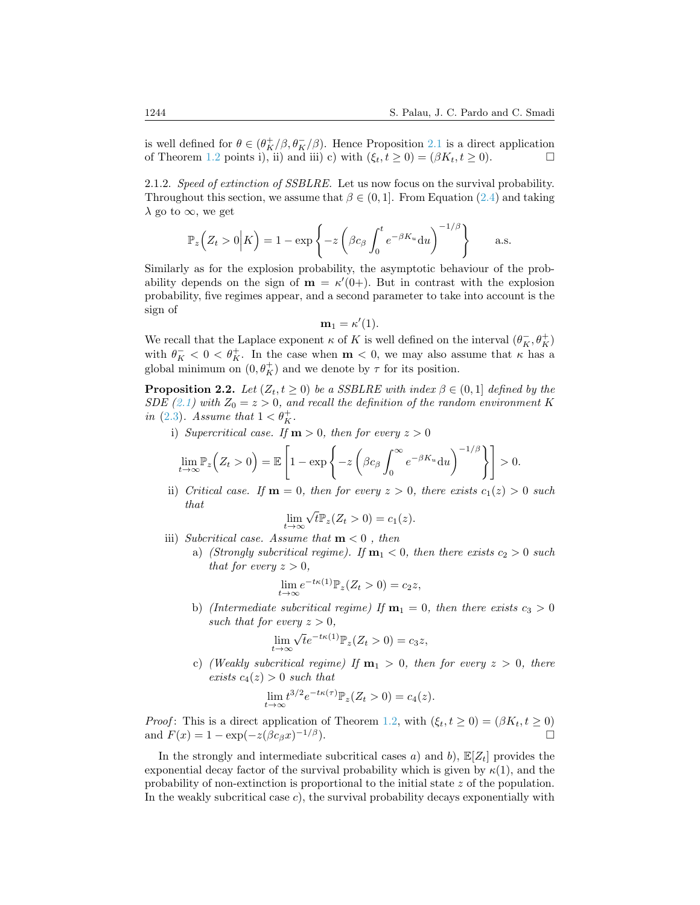is well defined for  $\theta \in (\theta^+_{K}/\beta, \theta^-_{K}/\beta)$ . Hence Proposition [2.1](#page-8-0) is a direct application of Theorem [1.2](#page-5-0) points i), ii) and iii) c) with  $(\xi_t, t \geq 0) = (\beta K_t, t \geq 0)$ .

2.1.2. Speed of extinction of SSBLRE. Let us now focus on the survival probability. Throughout this section, we assume that  $\beta \in (0, 1]$ . From Equation [\(2.4\)](#page-7-0) and taking  $\lambda$  go to  $\infty$ , we get

$$
\mathbb{P}_z\Big(Z_t>0\Big|K\Big)=1-\exp\left\{-z\left(\beta c_\beta\int_0^t e^{-\beta K_u}\mathrm{d}u\right)^{-1/\beta}\right\}\qquad\text{a.s.}
$$

Similarly as for the explosion probability, the asymptotic behaviour of the probability depends on the sign of  $\mathbf{m} = \kappa'(0+)$ . But in contrast with the explosion probability, five regimes appear, and a second parameter to take into account is the sign of

$$
\mathbf{m}_1 = \kappa'(1).
$$

We recall that the Laplace exponent  $\kappa$  of  $K$  is well defined on the interval  $(\theta_K^-,\theta_K^+)$ with  $\theta_K^- < 0 < \theta_K^+$ . In the case when  $m < 0$ , we may also assume that  $\kappa$  has a global minimum on  $(0, \theta_K^+)$  and we denote by  $\tau$  for its position.

**Proposition 2.2.** Let  $(Z_t, t \geq 0)$  be a SSBLRE with index  $\beta \in (0, 1]$  defined by the SDE [\(2.1\)](#page-7-1) with  $Z_0 = z > 0$ , and recall the definition of the random environment K in [\(2.3\)](#page-7-2). Assume that  $1 < \theta_K^+$ .

i) Supercritical case. If  $m > 0$ , then for every  $z > 0$ 

$$
\lim_{t \to \infty} \mathbb{P}_z\Big(Z_t > 0\Big) = \mathbb{E}\left[1 - \exp\left\{-z\left(\beta c_\beta \int_0^\infty e^{-\beta K_u} \mathrm{d}u\right)^{-1/\beta}\right\}\right] > 0.
$$

ii) Critical case. If  $m = 0$ , then for every  $z > 0$ , there exists  $c_1(z) > 0$  such that √

$$
\lim_{t \to \infty} \sqrt{t} \mathbb{P}_z(Z_t > 0) = c_1(z).
$$

- iii) Subcritical case. Assume that  $m < 0$ , then
	- a) (Strongly subcritical regime). If  $m_1 < 0$ , then there exists  $c_2 > 0$  such that for every  $z > 0$ ,

$$
\lim_{t \to \infty} e^{-t\kappa(1)} \mathbb{P}_z(Z_t > 0) = c_2 z,
$$

b) (Intermediate subcritical regime) If  $\mathbf{m}_1 = 0$ , then there exists  $c_3 > 0$ such that for every  $z > 0$ .

$$
\lim_{t \to \infty} \sqrt{t} e^{-t\kappa(1)} \mathbb{P}_z(Z_t > 0) = c_3 z,
$$

c) (Weakly subcritical regime) If  $m_1 > 0$ , then for every  $z > 0$ , there exists  $c_4(z) > 0$  such that

$$
\lim_{t \to \infty} t^{3/2} e^{-t\kappa(\tau)} \mathbb{P}_z(Z_t > 0) = c_4(z).
$$

*Proof*: This is a direct application of Theorem [1.2,](#page-5-0) with  $(\xi_t, t \geq 0) = (\beta K_t, t \geq 0)$ and  $F(x) = 1 - \exp(-z(\beta c_{\beta}x)^{-1/\beta}).$ 

In the strongly and intermediate subcritical cases a) and b),  $\mathbb{E}[Z_t]$  provides the exponential decay factor of the survival probability which is given by  $\kappa(1)$ , and the probability of non-extinction is proportional to the initial state z of the population. In the weakly subcritical case  $c$ ), the survival probability decays exponentially with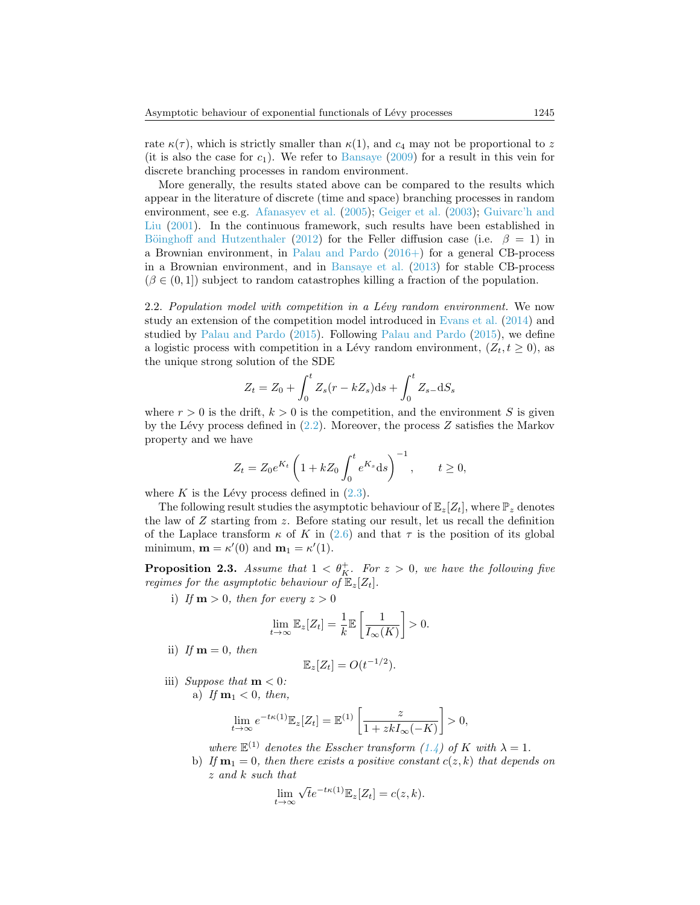rate  $\kappa(\tau)$ , which is strictly smaller than  $\kappa(1)$ , and  $c_4$  may not be proportional to z (it is also the case for  $c_1$ ). We refer to [Bansaye](#page-22-11) [\(2009\)](#page-22-11) for a result in this vein for discrete branching processes in random environment.

More generally, the results stated above can be compared to the results which appear in the literature of discrete (time and space) branching processes in random environment, see e.g. [Afanasyev et al.](#page-22-6) [\(2005\)](#page-22-6); [Geiger et al.](#page-23-12) [\(2003\)](#page-23-12); [Guivarc'h and](#page-23-5) [Liu](#page-23-5) [\(2001\)](#page-23-5). In the continuous framework, such results have been established in Böinghoff and Hutzenthaler [\(2012\)](#page-22-4) for the Feller diffusion case (i.e.  $\beta = 1$ ) in a Brownian environment, in [Palau and Pardo](#page-23-3) [\(2016+\)](#page-23-3) for a general CB-process in a Brownian environment, and in [Bansaye et al.](#page-22-3) [\(2013\)](#page-22-3) for stable CB-process  $(\beta \in (0, 1])$  subject to random catastrophes killing a fraction of the population.

2.2. Population model with competition in a Lévy random environment. We now study an extension of the competition model introduced in [Evans et al.](#page-22-12) [\(2014\)](#page-22-12) and studied by [Palau and Pardo](#page-23-7) [\(2015\)](#page-23-7). Following [Palau and Pardo](#page-23-7) [\(2015\)](#page-23-7), we define a logistic process with competition in a Lévy random environment,  $(Z_t, t \geq 0)$ , as the unique strong solution of the SDE

$$
Z_t = Z_0 + \int_0^t Z_s (r - kZ_s) ds + \int_0^t Z_{s-} dS_s
$$

where  $r > 0$  is the drift,  $k > 0$  is the competition, and the environment S is given by the Lévy process defined in  $(2.2)$ . Moreover, the process Z satisfies the Markov property and we have

$$
Z_t = Z_0 e^{K_t} \left( 1 + k Z_0 \int_0^t e^{K_s} ds \right)^{-1}, \qquad t \ge 0,
$$

where K is the Lévy process defined in  $(2.3)$ .

The following result studies the asymptotic behaviour of  $\mathbb{E}_{z}[Z_t]$ , where  $\mathbb{P}_z$  denotes the law of  $Z$  starting from  $z$ . Before stating our result, let us recall the definition of the Laplace transform  $\kappa$  of K in [\(2.6\)](#page-8-1) and that  $\tau$  is the position of its global minimum,  $\mathbf{m} = \kappa'(0)$  and  $\mathbf{m}_1 = \kappa'(1)$ .

**Proposition 2.3.** Assume that  $1 < \theta_K^+$ . For  $z > 0$ , we have the following five regimes for the asymptotic behaviour of  $\mathbb{E}_{z}[Z_t]$ .

i) If  $m > 0$ , then for every  $z > 0$ 

$$
\lim_{t \to \infty} \mathbb{E}_z[Z_t] = \frac{1}{k} \mathbb{E} \left[ \frac{1}{I_{\infty}(K)} \right] > 0.
$$

ii) If  $\mathbf{m} = 0$ , then

$$
\mathbb{E}_z[Z_t] = O(t^{-1/2}).
$$

iii) Suppose that  $m < 0$ : a) If  $m_1 < 0$ , then,

$$
\lim_{t \to \infty} e^{-t\kappa(1)} \mathbb{E}_z[Z_t] = \mathbb{E}^{(1)} \left[ \frac{z}{1 + zkI_{\infty}(-K)} \right] > 0,
$$

where  $\mathbb{E}^{(1)}$  denotes the Esscher transform  $(1.4)$  of K with  $\lambda = 1$ .

b) If  $\mathbf{m}_1 = 0$ , then there exists a positive constant  $c(z, k)$  that depends on z and k such that

$$
\lim_{t \to \infty} \sqrt{t} e^{-t\kappa(1)} \mathbb{E}_z[Z_t] = c(z, k).
$$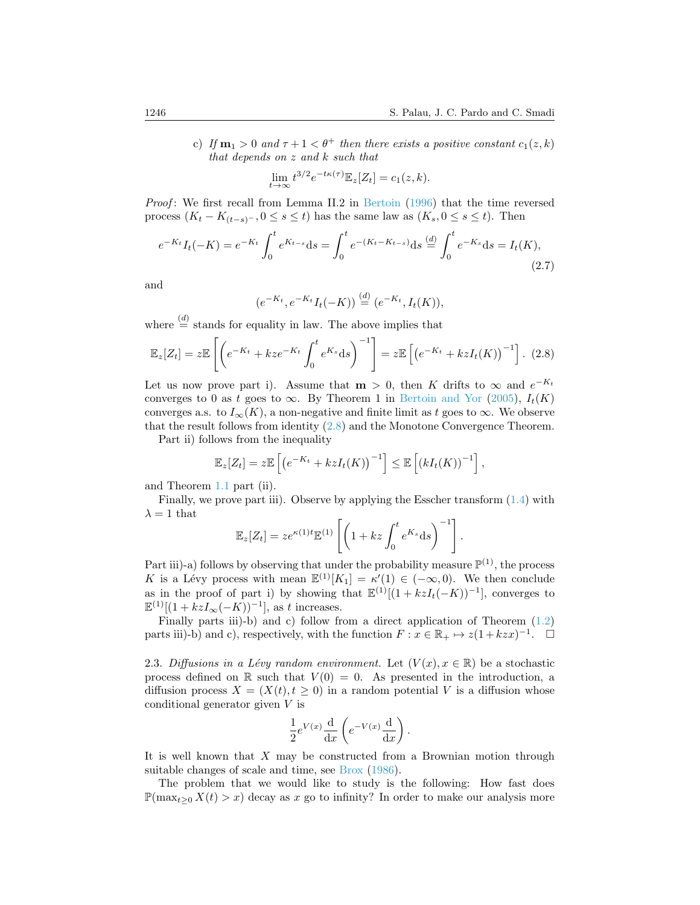c) If  $m_1 > 0$  and  $\tau + 1 < \theta^+$  then there exists a positive constant  $c_1(z, k)$ that depends on z and k such that

$$
\lim_{t \to \infty} t^{3/2} e^{-t\kappa(\tau)} \mathbb{E}_z[Z_t] = c_1(z, k).
$$

*Proof*: We first recall from Lemma II.2 in [Bertoin](#page-22-13)  $(1996)$  that the time reversed process  $(K_t - K_{(t-s)^-}, 0 \le s \le t)$  has the same law as  $(K_s, 0 \le s \le t)$ . Then

<span id="page-11-1"></span>
$$
e^{-K_t}I_t(-K) = e^{-K_t} \int_0^t e^{K_{t-s}} ds = \int_0^t e^{-(K_t - K_{t-s})} ds \stackrel{(d)}{=} \int_0^t e^{-K_s} ds = I_t(K),
$$
\n(2.7)

and

$$
(e^{-K_t}, e^{-K_t}I_t(-K)) \stackrel{(d)}{=} (e^{-K_t}, I_t(K)),
$$

where  $\stackrel{(d)}{=}$  stands for equality in law. The above implies that

<span id="page-11-0"></span>
$$
\mathbb{E}_z[Z_t] = z \mathbb{E}\left[\left(e^{-K_t} + kze^{-K_t} \int_0^t e^{K_s} ds\right)^{-1}\right] = z \mathbb{E}\left[\left(e^{-K_t} + kzI_t(K)\right)^{-1}\right].
$$
 (2.8)

Let us now prove part i). Assume that  $m > 0$ , then K drifts to  $\infty$  and  $e^{-K_t}$ converges to 0 as t goes to  $\infty$ . By Theorem 1 in [Bertoin and Yor](#page-22-0) [\(2005\)](#page-22-0),  $I_t(K)$ converges a.s. to  $I_{\infty}(K)$ , a non-negative and finite limit as t goes to  $\infty$ . We observe that the result follows from identity [\(2.8\)](#page-11-0) and the Monotone Convergence Theorem.

Part ii) follows from the inequality

$$
\mathbb{E}_z[Z_t] = z \mathbb{E}\left[\left(e^{-K_t} + kzI_t(K)\right)^{-1}\right] \leq \mathbb{E}\left[\left(kI_t(K)\right)^{-1}\right],
$$

and Theorem [1.1](#page-4-2) part (ii).

Finally, we prove part iii). Observe by applying the Esscher transform  $(1.4)$  with  $\lambda = 1$  that

$$
\mathbb{E}_z[Z_t] = ze^{\kappa(1)t}\mathbb{E}^{(1)}\left[\left(1+ kz \int_0^t e^{K_s} ds\right)^{-1}\right].
$$

Part iii)-a) follows by observing that under the probability measure  $\mathbb{P}^{(1)}$ , the process K is a Lévy process with mean  $\mathbb{E}^{(1)}[K_1] = \kappa'(1) \in (-\infty, 0)$ . We then conclude as in the proof of part i) by showing that  $\mathbb{E}^{(1)}[(1+kzI_t(-K))^{-1}]$ , converges to  $\mathbb{E}^{(1)}[(1+kzI_{\infty}(-K))^{-1}],$  as t increases.

Finally parts iii)-b) and c) follow from a direct application of Theorem [\(1.2\)](#page-5-0) parts iii)-b) and c), respectively, with the function  $F: x \in \mathbb{R}_+ \mapsto z(1 + kzx)^{-1}$ .  $\Box$ 

2.3. Diffusions in a Lévy random environment. Let  $(V(x), x \in \mathbb{R})$  be a stochastic process defined on R such that  $V(0) = 0$ . As presented in the introduction, a diffusion process  $X = (X(t), t \geq 0)$  in a random potential V is a diffusion whose conditional generator given V is

$$
\frac{1}{2}e^{V(x)}\frac{\mathrm{d}}{\mathrm{d}x}\left(e^{-V(x)}\frac{\mathrm{d}}{\mathrm{d}x}\right).
$$

It is well known that X may be constructed from a Brownian motion through suitable changes of scale and time, see [Brox](#page-22-14) [\(1986\)](#page-22-14).

The problem that we would like to study is the following: How fast does  $\mathbb{P}(\max_{t>0} X(t) > x)$  decay as x go to infinity? In order to make our analysis more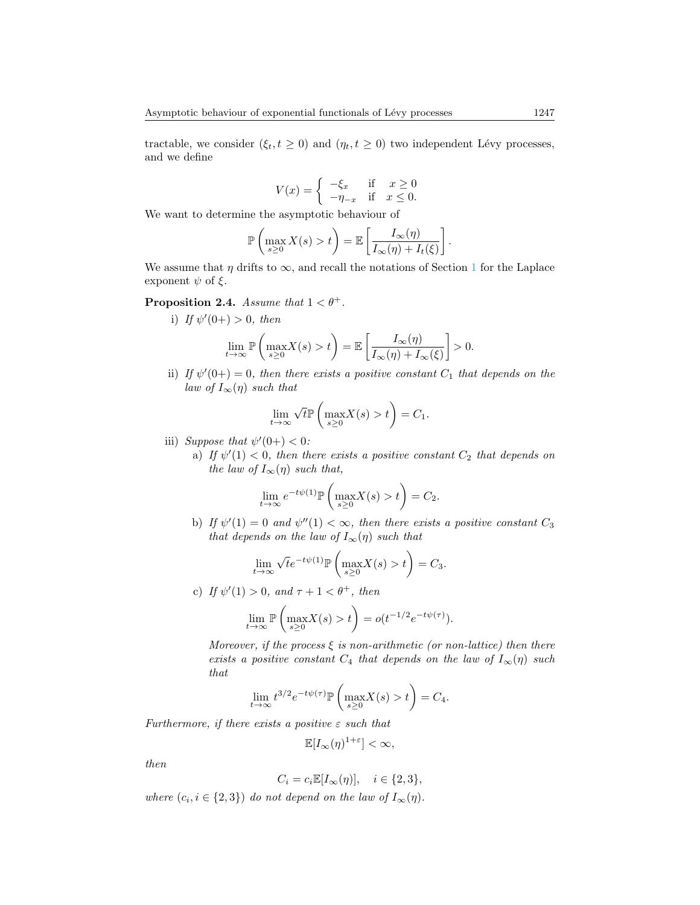tractable, we consider  $(\xi_t, t \geq 0)$  and  $(\eta_t, t \geq 0)$  two independent Lévy processes, and we define

$$
V(x) = \begin{cases} -\xi_x & \text{if } x \ge 0\\ -\eta_{-x} & \text{if } x \le 0. \end{cases}
$$

We want to determine the asymptotic behaviour of

$$
\mathbb{P}\left(\max_{s\geq 0} X(s) > t\right) = \mathbb{E}\left[\frac{I_{\infty}(\eta)}{I_{\infty}(\eta) + I_{t}(\xi)}\right].
$$

We assume that  $\eta$  drifts to  $\infty$ , and recall the notations of Section [1](#page-1-0) for the Laplace exponent  $\psi$  of  $\xi$ .

**Proposition 2.4.** Assume that  $1 < \theta^+$ .

i) If  $\psi'(0+) > 0$ , then

$$
\lim_{t \to \infty} \mathbb{P}\left(\max_{s \ge 0} X(s) > t\right) = \mathbb{E}\left[\frac{I_{\infty}(\eta)}{I_{\infty}(\eta) + I_{\infty}(\xi)}\right] > 0.
$$

ii) If  $\psi'(0+) = 0$ , then there exists a positive constant  $C_1$  that depends on the law of  $I_{\infty}(\eta)$  such that

$$
\lim_{t \to \infty} \sqrt{t} \mathbb{P}\left(\max_{s \ge 0} X(s) > t\right) = C_1.
$$

- iii) Suppose that  $\psi'(0+) < 0$ :
	- a) If  $\psi'(1) < 0$ , then there exists a positive constant  $C_2$  that depends on the law of  $I_{\infty}(\eta)$  such that,

$$
\lim_{t \to \infty} e^{-t\psi(1)} \mathbb{P}\left(\max_{s \ge 0} X(s) > t\right) = C_2.
$$

b) If  $\psi'(1) = 0$  and  $\psi''(1) < \infty$ , then there exists a positive constant  $C_3$ that depends on the law of  $I_{\infty}(\eta)$  such that

$$
\lim_{t \to \infty} \sqrt{t} e^{-t\psi(1)} \mathbb{P}\left(\max_{s \ge 0} X(s) > t\right) = C_3.
$$

c) If  $\psi'(1) > 0$ , and  $\tau + 1 < \theta^+$ , then

$$
\lim_{t \to \infty} \mathbb{P}\left(\max_{s \ge 0} X(s) > t\right) = o(t^{-1/2} e^{-t\psi(\tau)}).
$$

Moreover, if the process  $\xi$  is non-arithmetic (or non-lattice) then there exists a positive constant  $C_4$  that depends on the law of  $I_{\infty}(\eta)$  such that

$$
\lim_{t \to \infty} t^{3/2} e^{-t\psi(\tau)} \mathbb{P}\left(\max_{s \ge 0} X(s) > t\right) = C_4.
$$

Furthermore, if there exists a positive  $\varepsilon$  such that

$$
\mathbb{E}[I_{\infty}(\eta)^{1+\varepsilon}]<\infty,
$$

then

$$
C_i = c_i \mathbb{E}[I_\infty(\eta)], \quad i \in \{2, 3\},\
$$

where  $(c_i, i \in \{2,3\})$  do not depend on the law of  $I_\infty(\eta)$ .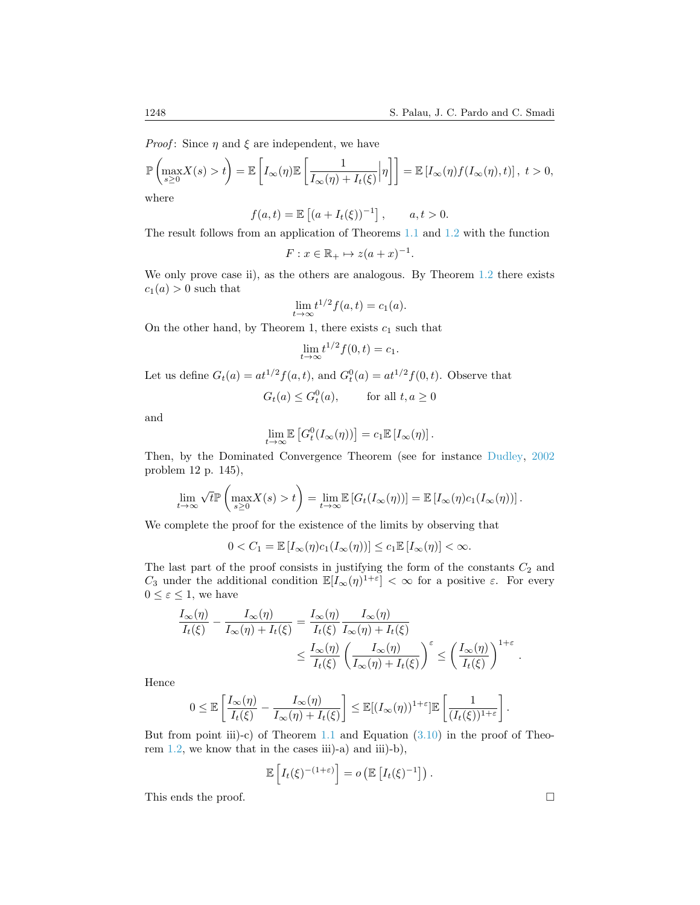*Proof:* Since  $\eta$  and  $\xi$  are independent, we have

$$
\mathbb{P}\left(\max_{s\geq 0} X(s) > t\right) = \mathbb{E}\left[I_{\infty}(\eta)\mathbb{E}\left[\frac{1}{I_{\infty}(\eta) + I_{t}(\xi)}\Big|\eta\right]\right] = \mathbb{E}\left[I_{\infty}(\eta)f(I_{\infty}(\eta),t)\right], t > 0,
$$

where

$$
f(a,t) = \mathbb{E} [(a + I_t(\xi))^{-1}], \quad a, t > 0.
$$

The result follows from an application of Theorems [1.1](#page-4-2) and [1.2](#page-5-0) with the function

$$
F: x \in \mathbb{R}_+ \mapsto z(a+x)^{-1}.
$$

We only prove case ii), as the others are analogous. By Theorem [1.2](#page-5-0) there exists  $c_1(a) > 0$  such that

$$
\lim_{t \to \infty} t^{1/2} f(a, t) = c_1(a).
$$

On the other hand, by Theorem 1, there exists  $c_1$  such that

$$
\lim_{t \to \infty} t^{1/2} f(0, t) = c_1.
$$

Let us define  $G_t(a) = at^{1/2} f(a, t)$ , and  $G_t^0(a) = at^{1/2} f(0, t)$ . Observe that

$$
G_t(a) \le G_t^0(a), \qquad \text{for all } t, a \ge 0
$$

and

$$
\lim_{t \to \infty} \mathbb{E}\left[G_t^0(I_\infty(\eta))\right] = c_1 \mathbb{E}\left[I_\infty(\eta)\right].
$$

Then, by the Dominated Convergence Theorem (see for instance [Dudley,](#page-22-15) [2002](#page-22-15) problem 12 p. 145),

$$
\lim_{t \to \infty} \sqrt{t} \mathbb{P}\left(\max_{s \geq 0} X(s) > t\right) = \lim_{t \to \infty} \mathbb{E}\left[G_t(I_\infty(\eta))\right] = \mathbb{E}\left[I_\infty(\eta)c_1(I_\infty(\eta))\right].
$$

We complete the proof for the existence of the limits by observing that

$$
0 < C_1 = \mathbb{E}\left[I_{\infty}(\eta)c_1(I_{\infty}(\eta))\right] \leq c_1 \mathbb{E}\left[I_{\infty}(\eta)\right] < \infty.
$$

The last part of the proof consists in justifying the form of the constants  $C_2$  and C<sub>3</sub> under the additional condition  $\mathbb{E}[I_{\infty}(\eta)^{1+\varepsilon}] < \infty$  for a positive  $\varepsilon$ . For every  $0 \leq \varepsilon \leq 1$ , we have

$$
\frac{I_{\infty}(\eta)}{I_{t}(\xi)} - \frac{I_{\infty}(\eta)}{I_{\infty}(\eta) + I_{t}(\xi)} = \frac{I_{\infty}(\eta)}{I_{t}(\xi)} \frac{I_{\infty}(\eta)}{I_{\infty}(\eta) + I_{t}(\xi)}
$$
\n
$$
\leq \frac{I_{\infty}(\eta)}{I_{t}(\xi)} \left(\frac{I_{\infty}(\eta)}{I_{\infty}(\eta) + I_{t}(\xi)}\right)^{\varepsilon} \leq \left(\frac{I_{\infty}(\eta)}{I_{t}(\xi)}\right)^{1+\varepsilon}
$$

Hence

$$
0 \leq \mathbb{E}\left[\frac{I_{\infty}(\eta)}{I_{t}(\xi)} - \frac{I_{\infty}(\eta)}{I_{\infty}(\eta) + I_{t}(\xi)}\right] \leq \mathbb{E}[(I_{\infty}(\eta))^{1+\varepsilon}] \mathbb{E}\left[\frac{1}{(I_{t}(\xi))^{1+\varepsilon}}\right].
$$

But from point iii)-c) of Theorem [1.1](#page-4-2) and Equation  $(3.10)$  in the proof of Theorem  $1.2$ , we know that in the cases iii)-a) and iii)-b),

$$
\mathbb{E}\left[I_t(\xi)^{-(1+\varepsilon)}\right] = o\left(\mathbb{E}\left[I_t(\xi)^{-1}\right]\right).
$$

This ends the proof.

.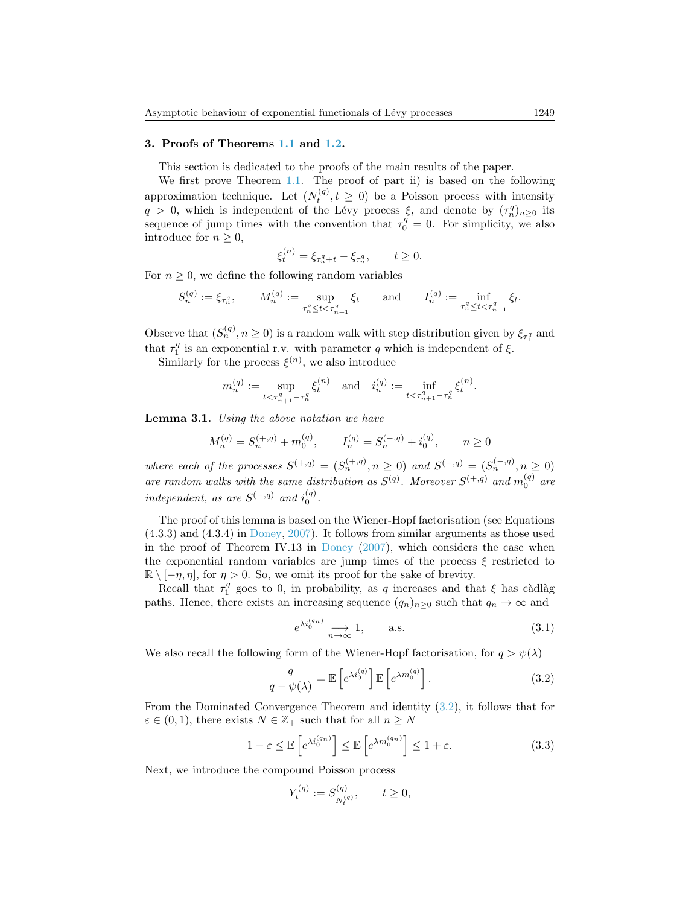## 3. Proofs of Theorems [1.1](#page-4-2) and [1.2.](#page-5-0)

This section is dedicated to the proofs of the main results of the paper.

We first prove Theorem [1.1.](#page-4-2) The proof of part ii) is based on the following approximation technique. Let  $(N_t^{(q)}, t \geq 0)$  be a Poisson process with intensity  $q > 0$ , which is independent of the Lévy process  $\xi$ , and denote by  $(\tau_n^q)_{n\geq 0}$  its sequence of jump times with the convention that  $\tau_0^q = 0$ . For simplicity, we also introduce for  $n \geq 0$ ,

$$
\xi_t^{(n)} = \xi_{\tau_n^q + t} - \xi_{\tau_n^q}, \qquad t \ge 0.
$$

For  $n \geq 0$ , we define the following random variables

$$
S_n^{(q)} := \xi_{\tau_n^q}, \qquad M_n^{(q)} := \sup_{\tau_n^q \le t < \tau_{n+1}^q} \xi_t \qquad \text{and} \qquad I_n^{(q)} := \inf_{\tau_n^q \le t < \tau_{n+1}^q} \xi_t.
$$

Observe that  $(S_n^{(q)}, n \ge 0)$  is a random walk with step distribution given by  $\xi_{\tau_1^q}$  and that  $\tau_1^q$  is an exponential r.v. with parameter q which is independent of  $\xi$ .

 $\mathcal{U}_{1}$  is an exponential 1.v. with parameter q with<br>Similarly for the process  $\xi^{(n)}$ , we also introduce

$$
m_n^{(q)} := \sup_{t < \tau_{n+1}^q - \tau_n^q} \xi_t^{(n)} \quad \text{and} \quad i_n^{(q)} := \inf_{t < \tau_{n+1}^q - \tau_n^q} \xi_t^{(n)}.
$$

<span id="page-14-1"></span>**Lemma 3.1.** Using the above notation we have

$$
M_n^{(q)} = S_n^{(+,q)} + m_0^{(q)}, \qquad I_n^{(q)} = S_n^{(-,q)} + i_0^{(q)}, \qquad n \ge 0
$$

where each of the processes  $S^{(+,q)} = (S_n^{(+,q)}, n \ge 0)$  and  $S^{(-,q)} = (S_n^{(-,q)}, n \ge 0)$ are random walks with the same distribution as  $S^{(q)}$ . Moreover  $S^{(+,q)}$  and  $m_0^{(q)}$  are independent, as are  $S^{(-,q)}$  and  $i_0^{(q)}$ .

The proof of this lemma is based on the Wiener-Hopf factorisation (see Equations (4.3.3) and (4.3.4) in [Doney,](#page-22-16) [2007\)](#page-22-16). It follows from similar arguments as those used in the proof of Theorem IV.13 in [Doney](#page-22-16)  $(2007)$ , which considers the case when the exponential random variables are jump times of the process  $\xi$  restricted to  $\mathbb{R} \setminus [-\eta, \eta]$ , for  $\eta > 0$ . So, we omit its proof for the sake of brevity.

Recall that  $\tau_1^q$  goes to 0, in probability, as q increases and that  $\xi$  has càdlàg paths. Hence, there exists an increasing sequence  $(q_n)_{n\geq 0}$  such that  $q_n \to \infty$  and

<span id="page-14-2"></span><span id="page-14-0"></span>
$$
e^{\lambda i_0^{(q_n)}} \underset{n \to \infty}{\longrightarrow} 1, \qquad \text{a.s.} \tag{3.1}
$$

We also recall the following form of the Wiener-Hopf factorisation, for  $q > \psi(\lambda)$ 

$$
\frac{q}{q - \psi(\lambda)} = \mathbb{E}\left[e^{\lambda i_0^{(q)}}\right] \mathbb{E}\left[e^{\lambda m_0^{(q)}}\right].
$$
\n(3.2)

From the Dominated Convergence Theorem and identity [\(3.2\)](#page-14-0), it follows that for  $\varepsilon \in (0,1)$ , there exists  $N \in \mathbb{Z}_+$  such that for all  $n \geq N$ 

$$
1 - \varepsilon \le \mathbb{E}\left[e^{\lambda i_0^{(q_n)}}\right] \le \mathbb{E}\left[e^{\lambda m_0^{(q_n)}}\right] \le 1 + \varepsilon. \tag{3.3}
$$

Next, we introduce the compound Poisson process

<span id="page-14-3"></span>
$$
Y_t^{(q)} := S_{N_t^{(q)}}^{(q)}, \qquad t \ge 0,
$$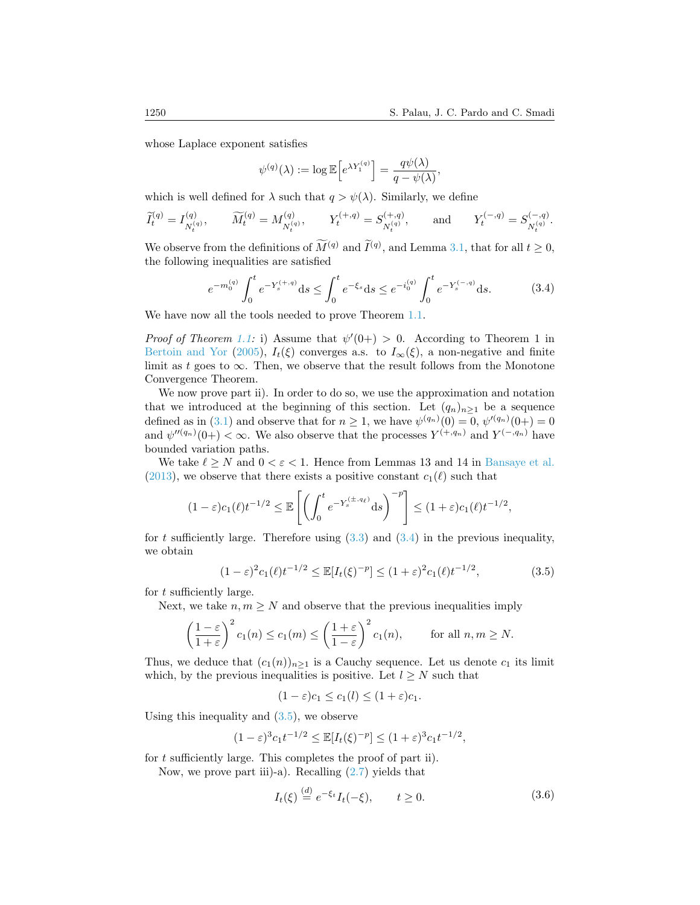whose Laplace exponent satisfies

$$
\psi^{(q)}(\lambda) := \log \mathbb{E}\Big[e^{\lambda Y_1^{(q)}}\Big] = \frac{q\psi(\lambda)}{q - \psi(\lambda)},
$$

which is well defined for  $\lambda$  such that  $q > \psi(\lambda)$ . Similarly, we define

$$
\widetilde{I}_t^{(q)} = I_{N_t^{(q)}}^{(q)}, \qquad \widetilde{M}_t^{(q)} = M_{N_t^{(q)}}^{(q)}, \qquad Y_t^{(+,q)} = S_{N_t^{(q)}}^{(+,q)}, \qquad \text{and} \qquad Y_t^{(-,q)} = S_{N_t^{(q)}}^{(-,q)}.
$$

We observe from the definitions of  $\overline{M}^{(q)}$  and  $\overline{I}^{(q)}$ , and Lemma [3.1,](#page-14-1) that for all  $t \ge 0$ , the following inequalities are satisfied

$$
e^{-m_0^{(q)}} \int_0^t e^{-Y_s^{(+,q)}} ds \le \int_0^t e^{-\xi_s} ds \le e^{-i_0^{(q)}} \int_0^t e^{-Y_s^{(-,q)}} ds. \tag{3.4}
$$

<span id="page-15-0"></span>We have now all the tools needed to prove Theorem [1.1.](#page-4-2)

*Proof of Theorem [1.1:](#page-4-2)* i) Assume that  $\psi'(0+) > 0$ . According to Theorem 1 in [Bertoin and Yor](#page-22-0) [\(2005\)](#page-22-0),  $I_t(\xi)$  converges a.s. to  $I_\infty(\xi)$ , a non-negative and finite limit as t goes to  $\infty$ . Then, we observe that the result follows from the Monotone Convergence Theorem.

We now prove part ii). In order to do so, we use the approximation and notation that we introduced at the beginning of this section. Let  $(q_n)_{n\geq 1}$  be a sequence defined as in [\(3.1\)](#page-14-2) and observe that for  $n \geq 1$ , we have  $\psi^{(q_n)}(0) = 0$ ,  $\psi^{(q_n)}(0+) = 0$ and  $\psi''(q_n)(0+) < \infty$ . We also observe that the processes  $Y^{(+,q_n)}$  and  $Y^{(-,q_n)}$  have bounded variation paths.

We take  $\ell \geq N$  and  $0 < \varepsilon < 1$ . Hence from Lemmas 13 and 14 in [Bansaye et al.](#page-22-3) [\(2013\)](#page-22-3), we observe that there exists a positive constant  $c_1(\ell)$  such that

$$
(1-\varepsilon)c_1(\ell)t^{-1/2} \le \mathbb{E}\left[\left(\int_0^t e^{-Y_s^{(\pm, q_\ell)}} ds\right)^{-p}\right] \le (1+\varepsilon)c_1(\ell)t^{-1/2},
$$

for t sufficiently large. Therefore using  $(3.3)$  and  $(3.4)$  in the previous inequality, we obtain

$$
(1 - \varepsilon)^2 c_1(\ell) t^{-1/2} \le \mathbb{E}[I_t(\xi)^{-p}] \le (1 + \varepsilon)^2 c_1(\ell) t^{-1/2},
$$
\n(3.5)

for t sufficiently large.

Next, we take  $n, m \geq N$  and observe that the previous inequalities imply

$$
\left(\frac{1-\varepsilon}{1+\varepsilon}\right)^2 c_1(n) \le c_1(m) \le \left(\frac{1+\varepsilon}{1-\varepsilon}\right)^2 c_1(n), \quad \text{for all } n, m \ge N.
$$

Thus, we deduce that  $(c_1(n))_{n>1}$  is a Cauchy sequence. Let us denote  $c_1$  its limit which, by the previous inequalities is positive. Let  $l \geq N$  such that

<span id="page-15-1"></span>
$$
(1 - \varepsilon)c_1 \le c_1(l) \le (1 + \varepsilon)c_1.
$$

Using this inequality and  $(3.5)$ , we observe

$$
(1 - \varepsilon)^3 c_1 t^{-1/2} \le \mathbb{E}[I_t(\xi)^{-p}] \le (1 + \varepsilon)^3 c_1 t^{-1/2},
$$

for t sufficiently large. This completes the proof of part ii).

<span id="page-15-2"></span>Now, we prove part iii)-a). Recalling  $(2.7)$  yields that

$$
I_t(\xi) \stackrel{(d)}{=} e^{-\xi_t} I_t(-\xi), \qquad t \ge 0. \tag{3.6}
$$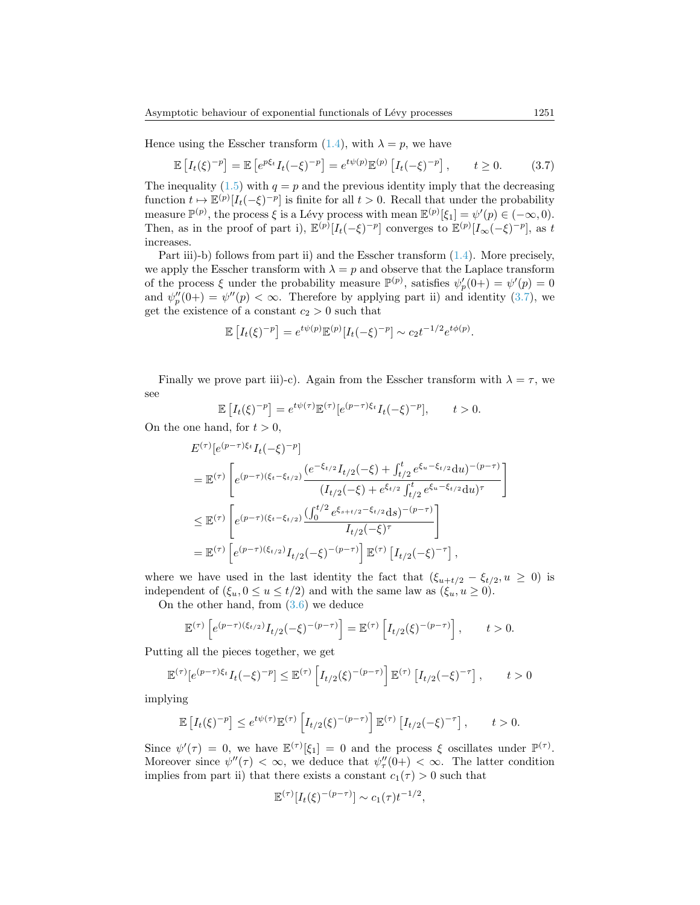Hence using the Esscher transform [\(1.4\)](#page-4-1), with  $\lambda = p$ , we have

<span id="page-16-0"></span>
$$
\mathbb{E}\left[I_t(\xi)^{-p}\right] = \mathbb{E}\left[e^{p\xi_t}I_t(-\xi)^{-p}\right] = e^{t\psi(p)}\mathbb{E}^{(p)}\left[I_t(-\xi)^{-p}\right], \qquad t \ge 0. \tag{3.7}
$$

The inequality  $(1.5)$  with  $q = p$  and the previous identity imply that the decreasing function  $t \mapsto \mathbb{E}^{(p)}[I_t(-\xi)^{-p}]$  is finite for all  $t > 0$ . Recall that under the probability measure  $\mathbb{P}^{(p)}$ , the process  $\xi$  is a Lévy process with mean  $\mathbb{E}^{(p)}[\xi_1] = \psi'(p) \in (-\infty, 0)$ . Then, as in the proof of part i),  $\mathbb{E}^{(p)}[I_t(-\xi)^{-p}]$  converges to  $\mathbb{E}^{(p)}[I_{\infty}(-\xi)^{-p}]$ , as t increases.

Part iii)-b) follows from part ii) and the Esscher transform [\(1.4\)](#page-4-1). More precisely, we apply the Esscher transform with  $\lambda = p$  and observe that the Laplace transform of the process  $\xi$  under the probability measure  $\mathbb{P}^{(p)}$ , satisfies  $\psi_p'(0+) = \psi'(p) = 0$ and  $\psi_p''(0+) = \psi''(p) < \infty$ . Therefore by applying part ii) and identity [\(3.7\)](#page-16-0), we get the existence of a constant  $c_2 > 0$  such that

$$
\mathbb{E}\left[I_t(\xi)^{-p}\right] = e^{t\psi(p)}\mathbb{E}^{(p)}[I_t(-\xi)^{-p}] \sim c_2 t^{-1/2} e^{t\phi(p)}.
$$

Finally we prove part iii)-c). Again from the Esscher transform with  $\lambda = \tau$ , we see

$$
\mathbb{E}\left[I_t(\xi)^{-p}\right] = e^{t\psi(\tau)}\mathbb{E}^{(\tau)}\left[e^{(p-\tau)\xi_t}I_t(-\xi)^{-p}\right], \qquad t > 0.
$$

On the one hand, for  $t > 0$ ,

$$
E^{(\tau)}[e^{(p-\tau)\xi_t}I_t(-\xi)^{-p}]
$$
  
\n
$$
= \mathbb{E}^{(\tau)}\left[e^{(p-\tau)(\xi_t-\xi_{t/2})}\frac{(e^{-\xi_{t/2}}I_{t/2}(-\xi) + \int_{t/2}^t e^{\xi_u-\xi_{t/2}}du)^{-(p-\tau)}}{(I_{t/2}(-\xi) + e^{\xi_{t/2}}\int_{t/2}^t e^{\xi_u-\xi_{t/2}}du)^{\tau}}\right]
$$
  
\n
$$
\leq \mathbb{E}^{(\tau)}\left[e^{(p-\tau)(\xi_t-\xi_{t/2})}\frac{(\int_0^{t/2} e^{\xi_{s+t/2}-\xi_{t/2}}ds)^{-(p-\tau)}}{I_{t/2}(-\xi)^{\tau}}\right]
$$
  
\n
$$
= \mathbb{E}^{(\tau)}\left[e^{(p-\tau)(\xi_{t/2})}I_{t/2}(-\xi)^{-(p-\tau)}\right]\mathbb{E}^{(\tau)}\left[I_{t/2}(-\xi)^{-\tau}\right],
$$

where we have used in the last identity the fact that  $(\xi_{u+t/2} - \xi_{t/2}, u \geq 0)$  is independent of  $(\xi_u, 0 \le u \le t/2)$  and with the same law as  $(\xi_u, u \ge 0)$ .

On the other hand, from  $(3.6)$  we deduce

$$
\mathbb{E}^{(\tau)}\left[e^{(p-\tau)(\xi_{t/2})}I_{t/2}(-\xi)^{-(p-\tau)}\right] = \mathbb{E}^{(\tau)}\left[I_{t/2}(\xi)^{-(p-\tau)}\right], \qquad t > 0.
$$

Putting all the pieces together, we get

$$
\mathbb{E}^{(\tau)}[e^{(p-\tau)\xi_t}I_t(-\xi)^{-p}] \leq \mathbb{E}^{(\tau)}\left[I_{t/2}(\xi)^{-(p-\tau)}\right]\mathbb{E}^{(\tau)}\left[I_{t/2}(-\xi)^{-\tau}\right], \qquad t > 0
$$

implying

$$
\mathbb{E}\left[I_t(\xi)^{-p}\right] \leq e^{t\psi(\tau)}\mathbb{E}^{(\tau)}\left[I_{t/2}(\xi)^{-(p-\tau)}\right]\mathbb{E}^{(\tau)}\left[I_{t/2}(-\xi)^{-\tau}\right], \qquad t > 0.
$$

Since  $\psi'(\tau) = 0$ , we have  $\mathbb{E}^{(\tau)}[\xi_1] = 0$  and the process  $\xi$  oscillates under  $\mathbb{P}^{(\tau)}$ . Moreover since  $\psi''(\tau) < \infty$ , we deduce that  $\psi''_{\tau}(0+) < \infty$ . The latter condition implies from part ii) that there exists a constant  $c_1(\tau) > 0$  such that

$$
\mathbb{E}^{(\tau)}[I_t(\xi)^{-(p-\tau)}] \sim c_1(\tau) t^{-1/2},
$$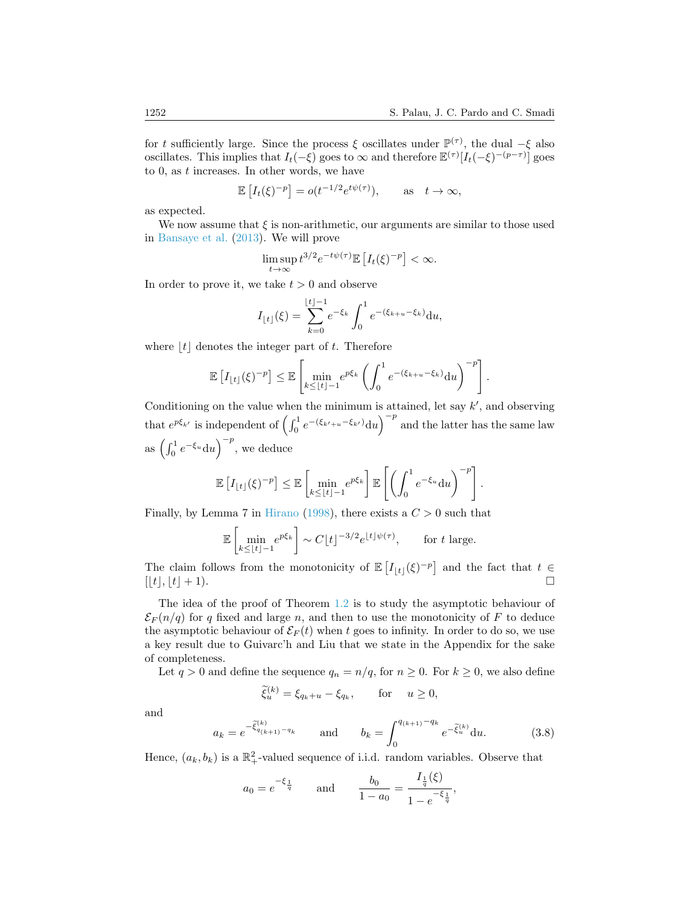for t sufficiently large. Since the process  $\xi$  oscillates under  $\mathbb{P}^{(\tau)}$ , the dual  $-\xi$  also oscillates. This implies that  $I_t(-\xi)$  goes to  $\infty$  and therefore  $\mathbb{E}^{(\tau)}[I_t(-\xi)^{-(p-\tau)}]$  goes to 0, as t increases. In other words, we have

$$
\mathbb{E}\left[I_t(\xi)^{-p}\right] = o(t^{-1/2}e^{t\psi(\tau)}), \quad \text{as} \quad t \to \infty,
$$

as expected.

We now assume that  $\xi$  is non-arithmetic, our arguments are similar to those used in [Bansaye et al.](#page-22-3) [\(2013\)](#page-22-3). We will prove

$$
\limsup_{t\to\infty}t^{3/2}e^{-t\psi(\tau)}\mathbb{E}\left[I_t(\xi)^{-p}\right]<\infty.
$$

In order to prove it, we take  $t > 0$  and observe

$$
I_{\lfloor t \rfloor}(\xi) = \sum_{k=0}^{\lfloor t \rfloor -1} e^{-\xi_k} \int_0^1 e^{-(\xi_{k+u} - \xi_k)} du,
$$

where  $|t|$  denotes the integer part of t. Therefore

$$
\mathbb{E}\left[I_{\lfloor t\rfloor}(\xi)^{-p}\right] \leq \mathbb{E}\left[\min_{k\leq \lfloor t\rfloor-1}e^{p\xi_k}\left(\int_0^1e^{-(\xi_{k+u}-\xi_k)}\mathrm{d}u\right)^{-p}\right].
$$

Conditioning on the value when the minimum is attained, let say  $k'$ , and observing that  $e^{p\xi_{k'}}$  is independent of  $\left(\int_0^1 e^{-(\xi_{k'+u}-\xi_{k'})}\mathrm{d}u\right)^{-p}$  and the latter has the same law as  $\left(\int_0^1 e^{-\xi_u} \mathrm{d}u\right)^{-p}$ , we deduce

$$
\mathbb{E}\left[I_{\lfloor t\rfloor}(\xi)^{-p}\right] \leq \mathbb{E}\left[\min_{k\leq \lfloor t\rfloor-1}e^{p\xi_k}\right]\mathbb{E}\left[\left(\int_0^1e^{-\xi_u}\mathrm{d}u\right)^{-p}\right].
$$

Finally, by Lemma 7 in [Hirano](#page-23-13) [\(1998\)](#page-23-13), there exists a  $C > 0$  such that

$$
\mathbb{E}\left[\min_{k\leq \lfloor t\rfloor-1}e^{p\xi_k}\right] \sim C\lfloor t\rfloor^{-3/2}e^{\lfloor t\rfloor\psi(\tau)}, \qquad \text{for } t \text{ large.}
$$

The claim follows from the monotonicity of  $\mathbb{E}[I_{\lfloor t\rfloor}(\xi)^{-p}]$  and the fact that  $t \in$  $\lfloor t \rfloor, \lfloor t \rfloor + 1$ .

The idea of the proof of Theorem [1.2](#page-5-0) is to study the asymptotic behaviour of  $\mathcal{E}_F(n/q)$  for q fixed and large n, and then to use the monotonicity of F to deduce the asymptotic behaviour of  $\mathcal{E}_F(t)$  when t goes to infinity. In order to do so, we use a key result due to Guivarc'h and Liu that we state in the Appendix for the sake of completeness.

Let  $q > 0$  and define the sequence  $q_n = n/q$ , for  $n \geq 0$ . For  $k \geq 0$ , we also define

$$
\widetilde{\xi}_u^{(k)} = \xi_{q_k + u} - \xi_{q_k}, \quad \text{for} \quad u \ge 0,
$$

and

<span id="page-17-0"></span>
$$
a_k = e^{-\tilde{\xi}_{q(k+1)}^{(k)} - q_k} \qquad \text{and} \qquad b_k = \int_0^{q_{(k+1)} - q_k} e^{-\tilde{\xi}_u^{(k)}} \mathrm{d}u. \tag{3.8}
$$

Hence,  $(a_k, b_k)$  is a  $\mathbb{R}^2_+$ -valued sequence of i.i.d. random variables. Observe that

$$
a_0 = e^{-\xi \frac{1}{q}}
$$
 and  $\frac{b_0}{1 - a_0} = \frac{I_{\frac{1}{q}}(\xi)}{1 - e^{-\xi \frac{1}{q}}},$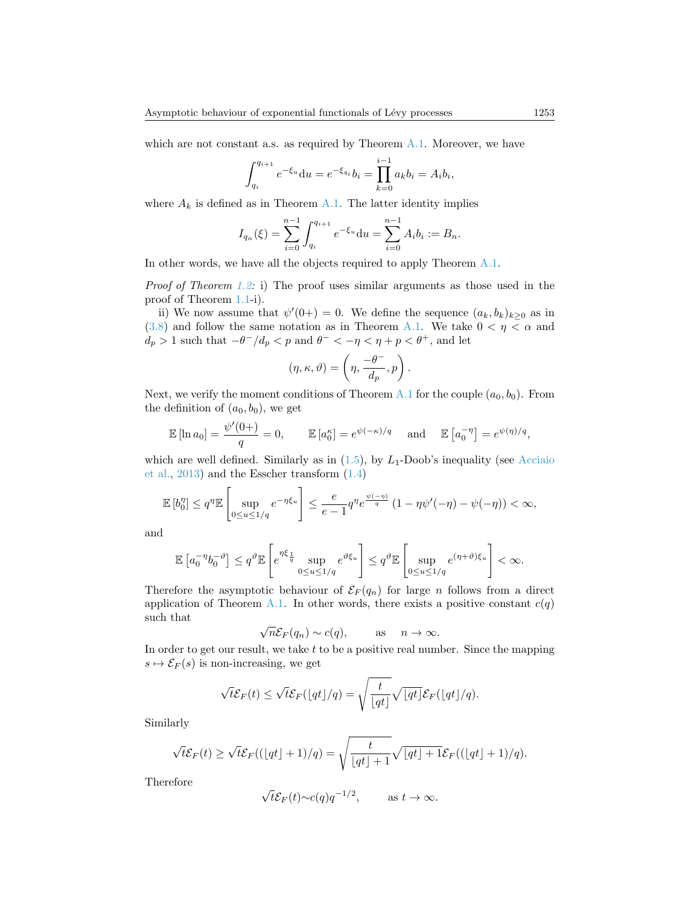which are not constant a.s. as required by Theorem [A.1.](#page-4-2) Moreover, we have

$$
\int_{q_i}^{q_{i+1}} e^{-\xi_u} du = e^{-\xi_{q_i}} b_i = \prod_{k=0}^{i-1} a_k b_i = A_i b_i,
$$

where  $A_k$  is defined as in Theorem [A.1.](#page-4-2) The latter identity implies

$$
I_{q_n}(\xi) = \sum_{i=0}^{n-1} \int_{q_i}^{q_{i+1}} e^{-\xi_u} du = \sum_{i=0}^{n-1} A_i b_i := B_n.
$$

In other words, we have all the objects required to apply Theorem [A.1.](#page-4-2)

*Proof of Theorem [1.2:](#page-5-0)* i) The proof uses similar arguments as those used in the proof of Theorem [1.1-](#page-4-2)i).

ii) We now assume that  $\psi'(0+) = 0$ . We define the sequence  $(a_k, b_k)_{k \geq 0}$  as in [\(3.8\)](#page-17-0) and follow the same notation as in Theorem [A.1.](#page-4-2) We take  $0 < \eta < \alpha$  and  $d_p > 1$  such that  $-\theta^-/d_p < p$  and  $\theta^- < -\eta < \eta + p < \theta^+$ , and let

$$
(\eta,\kappa,\vartheta)=\left(\eta,\frac{-\theta^-}{d_p},p\right).
$$

Next, we verify the moment conditions of Theorem [A.1](#page-4-2) for the couple  $(a_0, b_0)$ . From the definition of  $(a_0, b_0)$ , we get

$$
\mathbb{E}[\ln a_0] = \frac{\psi'(0+)}{q} = 0, \qquad \mathbb{E}[a_0^{\kappa}] = e^{\psi(-\kappa)/q} \quad \text{and} \quad \mathbb{E}[a_0^{-\eta}] = e^{\psi(\eta)/q},
$$

which are well defined. Similarly as in  $(1.5)$ , by  $L_1$ -Doob's inequality (see [Acciaio](#page-22-10) [et al.,](#page-22-10) [2013\)](#page-22-10) and the Esscher transform [\(1.4\)](#page-4-1)

$$
\mathbb{E}\left[b_0^{\eta}\right] \le q^{\eta} \mathbb{E}\left[\sup_{0 \le u \le 1/q} e^{-\eta \xi_u}\right] \le \frac{e}{e-1} q^{\eta} e^{\frac{\psi(-\eta)}{q}} \left(1 - \eta \psi'(-\eta) - \psi(-\eta)\right) < \infty,
$$

and

$$
\mathbb{E}\left[a_0^{-\eta}b_0^{-\vartheta}\right] \le q^{\vartheta}\mathbb{E}\left[e^{\eta\xi_{\frac{1}{q}}}\sup_{0\le u\le 1/q}e^{\vartheta\xi_u}\right] \le q^{\vartheta}\mathbb{E}\left[\sup_{0\le u\le 1/q}e^{(\eta+\vartheta)\xi_u}\right] < \infty.
$$

Therefore the asymptotic behaviour of  $\mathcal{E}_F(q_n)$  for large n follows from a direct application of Theorem [A.1.](#page-4-2) In other words, there exists a positive constant  $c(q)$ such that √

$$
\sqrt{n}\mathcal{E}_F(q_n) \sim c(q),
$$
 as  $n \to \infty.$ 

In order to get our result, we take  $t$  to be a positive real number. Since the mapping  $s \mapsto \mathcal{E}_F(s)$  is non-increasing, we get

$$
\sqrt{t}\mathcal{E}_F(t) \leq \sqrt{t}\mathcal{E}_F(\lfloor qt\rfloor/q) = \sqrt{\frac{t}{\lfloor qt\rfloor}}\sqrt{\lfloor qt\rfloor}\mathcal{E}_F(\lfloor qt\rfloor/q).
$$

Similarly

$$
\sqrt{t}\mathcal{E}_F(t) \ge \sqrt{t}\mathcal{E}_F((\lfloor qt \rfloor + 1)/q) = \sqrt{\frac{t}{\lfloor qt \rfloor + 1}}\sqrt{\lfloor qt \rfloor + 1}\mathcal{E}_F((\lfloor qt \rfloor + 1)/q).
$$

Therefore

$$
\sqrt{t}\mathcal{E}_F(t) \sim c(q)q^{-1/2}
$$
, as  $t \to \infty$ .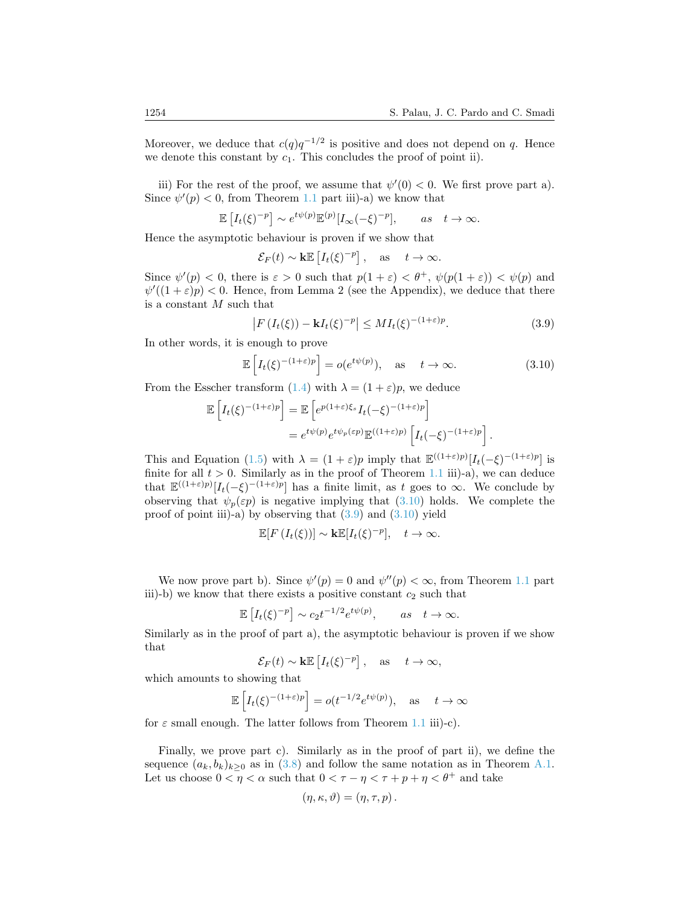Moreover, we deduce that  $c(q)q^{-1/2}$  is positive and does not depend on q. Hence we denote this constant by  $c_1$ . This concludes the proof of point ii).

iii) For the rest of the proof, we assume that  $\psi'(0) < 0$ . We first prove part a). Since  $\psi'(p) < 0$ , from Theorem [1.1](#page-4-2) part iii)-a) we know that

$$
\mathbb{E}\left[I_t(\xi)^{-p}\right] \sim e^{t\psi(p)} \mathbb{E}^{(p)}[I_{\infty}(-\xi)^{-p}], \quad \text{as} \quad t \to \infty.
$$

Hence the asymptotic behaviour is proven if we show that

$$
\mathcal{E}_F(t) \sim \mathbf{k} \mathbb{E}\left[I_t(\xi)^{-p}\right], \text{ as } t \to \infty.
$$

Since  $\psi'(p) < 0$ , there is  $\varepsilon > 0$  such that  $p(1+\varepsilon) < \theta^+$ ,  $\psi(p(1+\varepsilon)) < \psi(p)$  and  $\psi'((1+\varepsilon)p) < 0$ . Hence, from Lemma 2 (see the Appendix), we deduce that there is a constant M such that

<span id="page-19-1"></span>
$$
\left|F\left(I_t(\xi)\right) - \mathbf{k}I_t(\xi)^{-p}\right| \le MI_t(\xi)^{-(1+\varepsilon)p}.\tag{3.9}
$$

In other words, it is enough to prove

<span id="page-19-0"></span>
$$
\mathbb{E}\left[I_t(\xi)^{-(1+\varepsilon)p}\right] = o(e^{t\psi(p)}), \quad \text{as} \quad t \to \infty. \tag{3.10}
$$

From the Esscher transform [\(1.4\)](#page-4-1) with  $\lambda = (1 + \varepsilon)p$ , we deduce

$$
\mathbb{E}\left[I_t(\xi)^{-(1+\varepsilon)p}\right] = \mathbb{E}\left[e^{p(1+\varepsilon)\xi_s}I_t(-\xi)^{-(1+\varepsilon)p}\right]
$$

$$
= e^{t\psi(p)}e^{t\psi_p(\varepsilon p)}\mathbb{E}^{((1+\varepsilon)p)}\left[I_t(-\xi)^{-(1+\varepsilon)p}\right].
$$

This and Equation [\(1.5\)](#page-5-1) with  $\lambda = (1 + \varepsilon)p$  imply that  $\mathbb{E}^{((1+\varepsilon)p)}[I_t(-\xi)^{-(1+\varepsilon)p}]$  is finite for all  $t > 0$ . Similarly as in the proof of Theorem [1.1](#page-4-2) iii)-a), we can deduce that  $\mathbb{E}^{((1+\varepsilon)p)}[I_t(-\xi)^{-(1+\varepsilon)p}]$  has a finite limit, as t goes to  $\infty$ . We conclude by observing that  $\psi_p(\varepsilon p)$  is negative implying that [\(3.10\)](#page-19-0) holds. We complete the proof of point iii)-a) by observing that  $(3.9)$  and  $(3.10)$  yield

$$
\mathbb{E}[F(I_t(\xi))] \sim \mathbf{k} \mathbb{E}[I_t(\xi)^{-p}], \quad t \to \infty.
$$

We now prove part b). Since  $\psi'(p) = 0$  and  $\psi''(p) < \infty$ , from Theorem [1.1](#page-4-2) part iii)-b) we know that there exists a positive constant  $c_2$  such that

$$
\mathbb{E}\left[I_t(\xi)^{-p}\right] \sim c_2 t^{-1/2} e^{t\psi(p)}, \quad \text{as} \quad t \to \infty.
$$

Similarly as in the proof of part a), the asymptotic behaviour is proven if we show that

$$
\mathcal{E}_F(t) \sim \mathbf{k} \mathbb{E}\left[I_t(\xi)^{-p}\right], \text{ as } t \to \infty,
$$

which amounts to showing that

$$
\mathbb{E}\left[I_t(\xi)^{-(1+\varepsilon)p}\right] = o(t^{-1/2}e^{t\psi(p)}), \text{ as } t \to \infty
$$

for  $\varepsilon$  small enough. The latter follows from Theorem [1.1](#page-4-2) iii)-c).

Finally, we prove part c). Similarly as in the proof of part ii), we define the sequence  $(a_k, b_k)_{k>0}$  as in [\(3.8\)](#page-17-0) and follow the same notation as in Theorem [A.1.](#page-4-2) Let us choose  $0<\eta<\alpha$  such that  $0<\tau-\eta<\tau+p+\eta<\theta^+$  and take

$$
(\eta, \kappa, \vartheta) = (\eta, \tau, p).
$$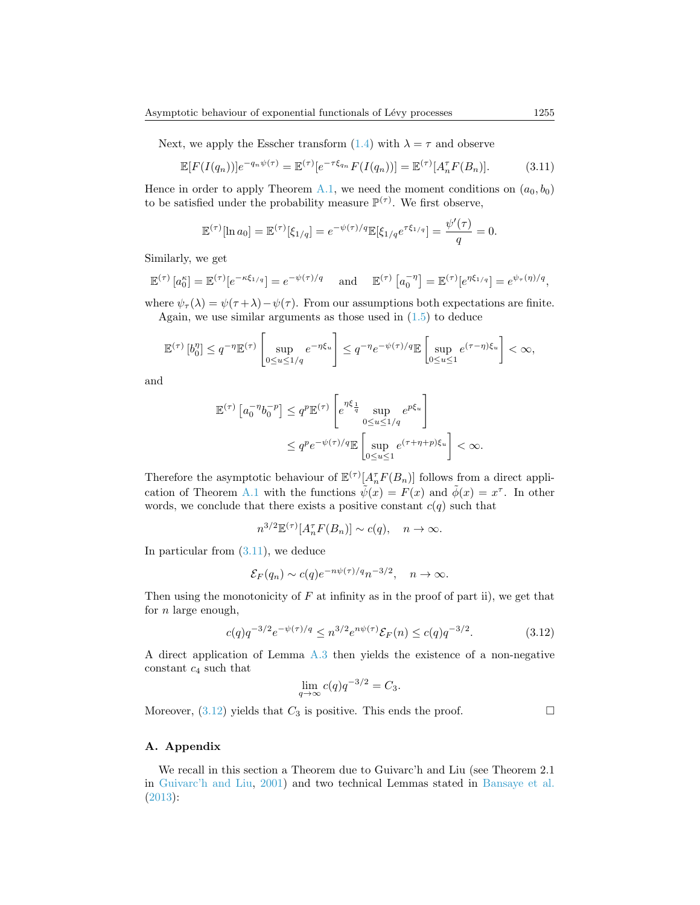Next, we apply the Esscher transform  $(1.4)$  with  $\lambda = \tau$  and observe

<span id="page-20-0"></span>
$$
\mathbb{E}[F(I(q_n))]e^{-q_n\psi(\tau)} = \mathbb{E}^{(\tau)}[e^{-\tau\xi_{q_n}}F(I(q_n))] = \mathbb{E}^{(\tau)}[A_n^{\tau}F(B_n)].\tag{3.11}
$$

Hence in order to apply Theorem [A.1,](#page-4-2) we need the moment conditions on  $(a_0, b_0)$ to be satisfied under the probability measure  $\mathbb{P}^{(\tau)}$ . We first observe,

$$
\mathbb{E}^{(\tau)}[\ln a_0] = \mathbb{E}^{(\tau)}[\xi_{1/q}] = e^{-\psi(\tau)/q} \mathbb{E}[\xi_{1/q} e^{\tau \xi_{1/q}}] = \frac{\psi'(\tau)}{q} = 0.
$$

Similarly, we get

$$
\mathbb{E}^{(\tau)}\left[a_0^{\kappa}\right] = \mathbb{E}^{(\tau)}\left[e^{-\kappa\xi_{1/q}}\right] = e^{-\psi(\tau)/q} \quad \text{and} \quad \mathbb{E}^{(\tau)}\left[a_0^{-\eta}\right] = \mathbb{E}^{(\tau)}\left[e^{\eta\xi_{1/q}}\right] = e^{\psi_{\tau}(\eta)/q},
$$

where  $\psi_{\tau}(\lambda) = \psi(\tau + \lambda) - \psi(\tau)$ . From our assumptions both expectations are finite. Again, we use similar arguments as those used in [\(1.5\)](#page-5-1) to deduce

$$
\mathbb{E}^{(\tau)}\left[b_0^{\eta}\right] \le q^{-\eta} \mathbb{E}^{(\tau)}\left[\sup_{0 \le u \le 1/q} e^{-\eta \xi_u}\right] \le q^{-\eta} e^{-\psi(\tau)/q} \mathbb{E}\left[\sup_{0 \le u \le 1} e^{(\tau-\eta)\xi_u}\right] < \infty,
$$

and

$$
\mathbb{E}^{(\tau)}\left[a_0^{-\eta}b_0^{-p}\right] \leq q^p \mathbb{E}^{(\tau)}\left[e^{\eta\xi_{\frac{1}{q}}}\sup_{0\leq u\leq 1/q}e^{p\xi_u}\right]
$$

$$
\leq q^pe^{-\psi(\tau)/q}\mathbb{E}\left[\sup_{0\leq u\leq 1}e^{(\tau+\eta+p)\xi_u}\right] < \infty.
$$

Therefore the asymptotic behaviour of  $\mathbb{E}^{(\tau)}[A_n^{\tau}F(B_n)]$  follows from a direct appli-cation of Theorem [A.1](#page-4-2) with the functions  $\tilde{\psi}(x) = F(x)$  and  $\tilde{\phi}(x) = x^{\tau}$ . In other words, we conclude that there exists a positive constant  $c(q)$  such that

$$
n^{3/2} \mathbb{E}^{(\tau)}[A_n^{\tau} F(B_n)] \sim c(q), \quad n \to \infty.
$$

In particular from [\(3.11\)](#page-20-0), we deduce

$$
\mathcal{E}_F(q_n) \sim c(q)e^{-n\psi(\tau)/q}n^{-3/2}, \quad n \to \infty.
$$

Then using the monotonicity of  $F$  at infinity as in the proof of part ii), we get that for  $n$  large enough,

<span id="page-20-1"></span>
$$
c(q)q^{-3/2}e^{-\psi(\tau)/q} \le n^{3/2}e^{n\psi(\tau)}\mathcal{E}_F(n) \le c(q)q^{-3/2}.\tag{3.12}
$$

A direct application of Lemma [A.3](#page-21-0) then yields the existence of a non-negative constant  $c_4$  such that

$$
\lim_{q \to \infty} c(q)q^{-3/2} = C_3.
$$

Moreover,  $(3.12)$  yields that  $C_3$  is positive. This ends the proof.

(τ)

# A. Appendix

We recall in this section a Theorem due to Guivarc'h and Liu (see Theorem 2.1 in [Guivarc'h and Liu,](#page-23-5) [2001\)](#page-23-5) and two technical Lemmas stated in [Bansaye et al.](#page-22-3) [\(2013\)](#page-22-3):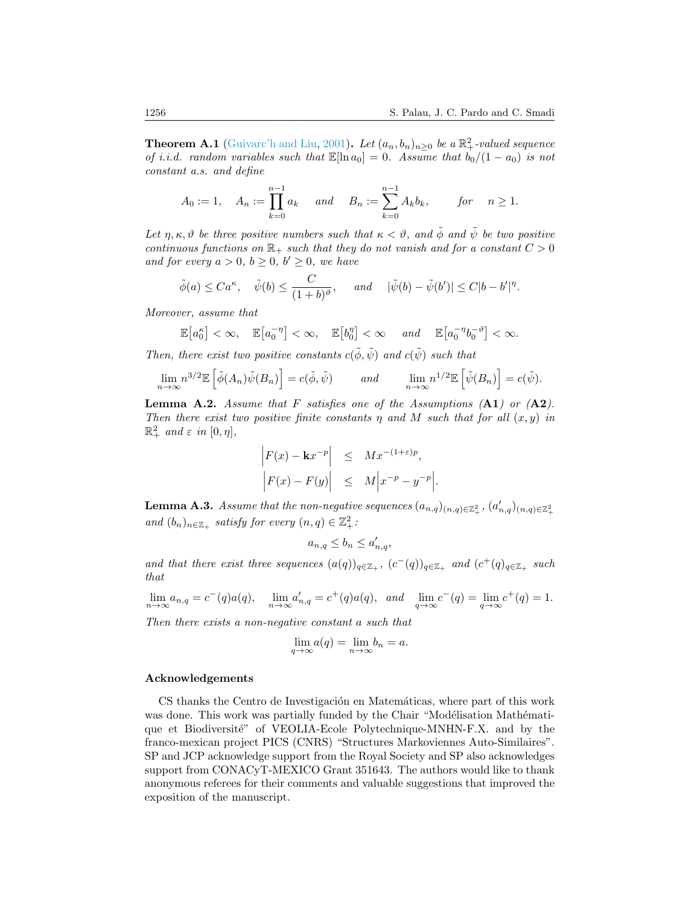**Theorem A.1** [\(Guivarc'h and Liu,](#page-23-5) [2001\)](#page-23-5). Let  $(a_n, b_n)_{n\geq 0}$  be a  $\mathbb{R}^2_+$ -valued sequence of *i.i.d.* random variables such that  $\mathbb{E}[\ln a_0] = 0$ . Assume that  $b_0/(1 - a_0)$  is not constant a.s. and define

$$
A_0 := 1
$$
,  $A_n := \prod_{k=0}^{n-1} a_k$  and  $B_n := \sum_{k=0}^{n-1} A_k b_k$ , for  $n \ge 1$ .

Let  $\eta, \kappa, \vartheta$  be three positive numbers such that  $\kappa < \vartheta$ , and  $\tilde{\varphi}$  and  $\tilde{\psi}$  be two positive continuous functions on  $\mathbb{R}_+$  such that they do not vanish and for a constant  $C > 0$ and for every  $a > 0$ ,  $b \ge 0$ ,  $b' \ge 0$ , we have

$$
\tilde{\phi}(a) \leq Ca^{\kappa}, \quad \tilde{\psi}(b) \leq \frac{C}{(1+b)^{\vartheta}}, \quad \text{and} \quad |\tilde{\psi}(b) - \tilde{\psi}(b')| \leq C|b - b'|^{\eta}.
$$

Moreover, assume that

$$
\mathbb{E}\left[a_0^{\kappa}\right] < \infty, \quad \mathbb{E}\left[a_0^{-\eta}\right] < \infty, \quad \mathbb{E}\left[b_0^{\eta}\right] < \infty \quad \text{and} \quad \mathbb{E}\left[a_0^{-\eta}b_0^{-\vartheta}\right] < \infty.
$$

Then, there exist two positive constants  $c(\phi, \psi)$  and  $c(\psi)$  such that

$$
\lim_{n \to \infty} n^{3/2} \mathbb{E} \left[ \tilde{\phi}(A_n) \tilde{\psi}(B_n) \right] = c(\tilde{\phi}, \tilde{\psi}) \quad \text{and} \quad \lim_{n \to \infty} n^{1/2} \mathbb{E} \left[ \tilde{\psi}(B_n) \right] = c(\tilde{\psi}).
$$

**Lemma A.2.** Assume that F satisfies one of the Assumptions  $(A1)$  or  $(A2)$ . Then there exist two positive finite constants  $\eta$  and M such that for all  $(x, y)$  in  $\mathbb{R}^2_+$  and  $\varepsilon$  in  $[0, \eta],$ 

$$
\begin{vmatrix} F(x) - \mathbf{k}x^{-p} & \leq & Mx^{-(1+\varepsilon)p}, \\ \left| F(x) - F(y) \right| & \leq & M \left| x^{-p} - y^{-p} \right| . \end{vmatrix}
$$

<span id="page-21-0"></span>**Lemma A.3.** Assume that the non-negative sequences  $(a_{n,q})_{(n,q)\in\mathbb{Z}_{+}^{2}}$ ,  $(a'_{n,q})_{(n,q)\in\mathbb{Z}_{+}^{2}}$ and  $(b_n)_{n \in \mathbb{Z}_+}$  satisfy for every  $(n, q) \in \mathbb{Z}_+^2$ :

$$
a_{n,q} \le b_n \le a'_{n,q},
$$

and that there exist three sequences  $(a(q))_{q \in \mathbb{Z}_+}$ ,  $(c^-(q))_{q \in \mathbb{Z}_+}$  and  $(c^+(q))_{q \in \mathbb{Z}_+}$  such that

 $\lim_{n \to \infty} a_{n,q} = c^-(q) a(q), \quad \lim_{n \to \infty} a'_{n,q} = c^+(q) a(q), \text{ and } \lim_{q \to \infty} c^-(q) = \lim_{q \to \infty} c^+(q) = 1.$ 

Then there exists a non-negative constant a such that

$$
\lim_{q \to \infty} a(q) = \lim_{n \to \infty} b_n = a.
$$

## Acknowledgements

CS thanks the Centro de Investigación en Matemáticas, where part of this work was done. This work was partially funded by the Chair "Modélisation Mathématique et Biodiversité" of VEOLIA-Ecole Polytechnique-MNHN-F.X. and by the franco-mexican project PICS (CNRS) "Structures Markoviennes Auto-Similaires". SP and JCP acknowledge support from the Royal Society and SP also acknowledges support from CONACyT-MEXICO Grant 351643. The authors would like to thank anonymous referees for their comments and valuable suggestions that improved the exposition of the manuscript.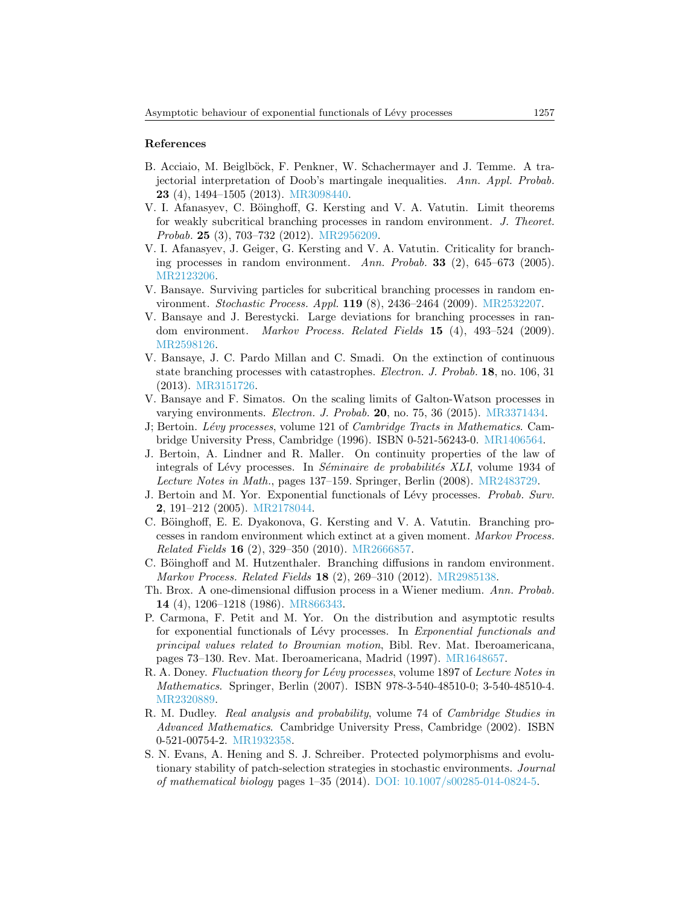### References

- <span id="page-22-10"></span>B. Acciaio, M. Beiglböck, F. Penkner, W. Schachermayer and J. Temme. A trajectorial interpretation of Doob's martingale inequalities. Ann. Appl. Probab. 23 (4), 1494–1505 (2013). [MR3098440.](http://www.ams.org/mathscinet-getitem?mr=MR3098440)
- <span id="page-22-5"></span>V. I. Afanasyev, C. Böinghoff, G. Kersting and V. A. Vatutin. Limit theorems for weakly subcritical branching processes in random environment. J. Theoret. Probab. 25 (3), 703–732 (2012). [MR2956209.](http://www.ams.org/mathscinet-getitem?mr=MR2956209)
- <span id="page-22-6"></span>V. I. Afanasyev, J. Geiger, G. Kersting and V. A. Vatutin. Criticality for branching processes in random environment. Ann. Probab. 33 (2), 645–673 (2005). [MR2123206.](http://www.ams.org/mathscinet-getitem?mr=MR2123206)
- <span id="page-22-11"></span>V. Bansaye. Surviving particles for subcritical branching processes in random environment. Stochastic Process. Appl. 119 (8), 2436–2464 (2009). [MR2532207.](http://www.ams.org/mathscinet-getitem?mr=MR2532207)
- <span id="page-22-7"></span>V. Bansaye and J. Berestycki. Large deviations for branching processes in random environment. Markov Process. Related Fields 15 (4), 493-524 (2009). [MR2598126.](http://www.ams.org/mathscinet-getitem?mr=MR2598126)
- <span id="page-22-3"></span>V. Bansaye, J. C. Pardo Millan and C. Smadi. On the extinction of continuous state branching processes with catastrophes. Electron. J. Probab. 18, no. 106, 31 (2013). [MR3151726.](http://www.ams.org/mathscinet-getitem?mr=MR3151726)
- <span id="page-22-9"></span>V. Bansaye and F. Simatos. On the scaling limits of Galton-Watson processes in varying environments. Electron. J. Probab. 20, no. 75, 36 (2015). [MR3371434.](http://www.ams.org/mathscinet-getitem?mr=MR3371434)
- <span id="page-22-13"></span>J; Bertoin. Lévy processes, volume 121 of Cambridge Tracts in Mathematics. Cambridge University Press, Cambridge (1996). ISBN 0-521-56243-0. [MR1406564.](http://www.ams.org/mathscinet-getitem?mr=MR1406564)
- <span id="page-22-2"></span>J. Bertoin, A. Lindner and R. Maller. On continuity properties of the law of integrals of Lévy processes. In Séminaire de probabilités XLI, volume 1934 of Lecture Notes in Math., pages 137–159. Springer, Berlin (2008). [MR2483729.](http://www.ams.org/mathscinet-getitem?mr=MR2483729)
- <span id="page-22-0"></span>J. Bertoin and M. Yor. Exponential functionals of Lévy processes. Probab. Surv. 2, 191–212 (2005). [MR2178044.](http://www.ams.org/mathscinet-getitem?mr=MR2178044)
- <span id="page-22-8"></span>C. Böinghoff, E. E. Dyakonova, G. Kersting and V. A. Vatutin. Branching processes in random environment which extinct at a given moment. Markov Process. Related Fields 16 (2), 329–350 (2010). [MR2666857.](http://www.ams.org/mathscinet-getitem?mr=MR2666857)
- <span id="page-22-4"></span>C. Böinghoff and M. Hutzenthaler. Branching diffusions in random environment. Markov Process. Related Fields 18 (2), 269–310 (2012). [MR2985138.](http://www.ams.org/mathscinet-getitem?mr=MR2985138)
- <span id="page-22-14"></span>Th. Brox. A one-dimensional diffusion process in a Wiener medium. Ann. Probab. 14 (4), 1206–1218 (1986). [MR866343.](http://www.ams.org/mathscinet-getitem?mr=MR866343)
- <span id="page-22-1"></span>P. Carmona, F. Petit and M. Yor. On the distribution and asymptotic results for exponential functionals of Lévy processes. In Exponential functionals and principal values related to Brownian motion, Bibl. Rev. Mat. Iberoamericana, pages 73–130. Rev. Mat. Iberoamericana, Madrid (1997). [MR1648657.](http://www.ams.org/mathscinet-getitem?mr=MR1648657)
- <span id="page-22-16"></span>R. A. Doney. Fluctuation theory for Lévy processes, volume 1897 of Lecture Notes in Mathematics. Springer, Berlin (2007). ISBN 978-3-540-48510-0; 3-540-48510-4. [MR2320889.](http://www.ams.org/mathscinet-getitem?mr=MR2320889)
- <span id="page-22-15"></span>R. M. Dudley. Real analysis and probability, volume 74 of Cambridge Studies in Advanced Mathematics. Cambridge University Press, Cambridge (2002). ISBN 0-521-00754-2. [MR1932358.](http://www.ams.org/mathscinet-getitem?mr=MR1932358)
- <span id="page-22-12"></span>S. N. Evans, A. Hening and S. J. Schreiber. Protected polymorphisms and evolutionary stability of patch-selection strategies in stochastic environments. Journal of mathematical biology pages 1–35 (2014). [DOI: 10.1007/s00285-014-0824-5.](http://dx.doi.org/10.1007/s00285-014-0824-5)